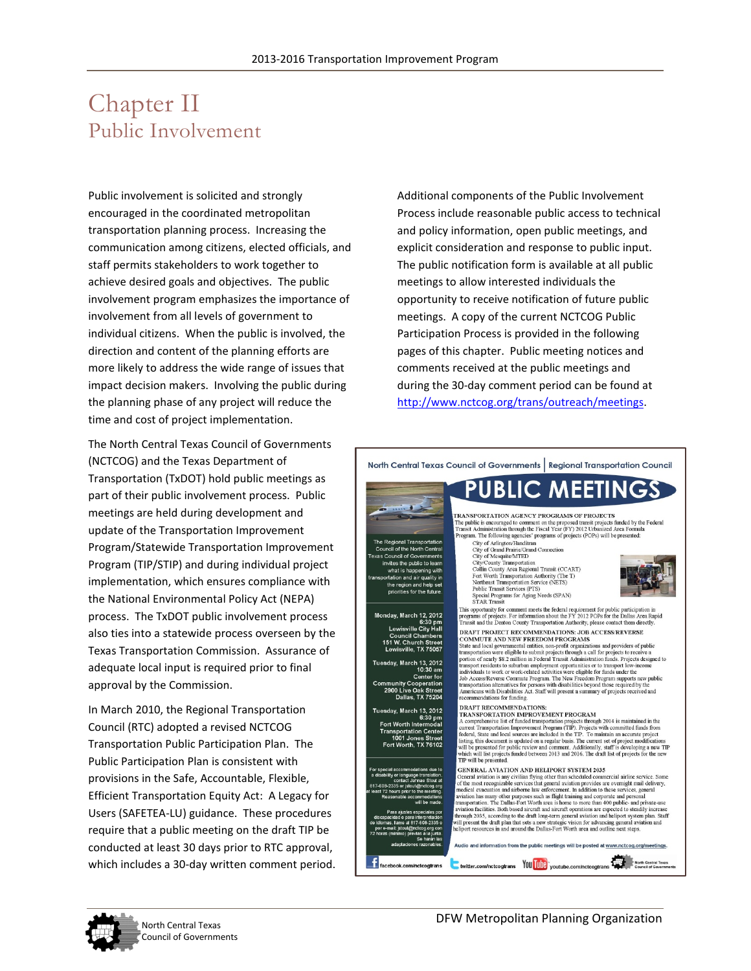## Chapter II Public Involvement

Public involvement is solicited and strongly encouraged in the coordinated metropolitan transportation planning process. Increasing the communication among citizens, elected officials, and staff permits stakeholders to work together to achieve desired goals and objectives. The public involvement program emphasizes the importance of involvement from all levels of government to individual citizens. When the public is involved, the direction and content of the planning efforts are more likely to address the wide range of issues that impact decision makers. Involving the public during the planning phase of any project will reduce the time and cost of project implementation.

The North Central Texas Council of Governments (NCTCOG) and the Texas Department of Transportation (TxDOT) hold public meetings as part of their public involvement process. Public meetings are held during development and update of the Transportation Improvement Program/Statewide Transportation Improvement Program (TIP/STIP) and during individual project implementation, which ensures compliance with the National Environmental Policy Act (NEPA) process. The TxDOT public involvement process also ties into a statewide process overseen by the Texas Transportation Commission. Assurance of adequate local input is required prior to final approval by the Commission.

In March 2010, the Regional Transportation Council (RTC) adopted a revised NCTCOG Transportation Public Participation Plan. The Public Participation Plan is consistent with provisions in the Safe, Accountable, Flexible, Efficient Transportation Equity Act: A Legacy for Users (SAFETEA-LU) guidance. These procedures require that a public meeting on the draft TIP be conducted at least 30 days prior to RTC approval, which includes a 30-day written comment period. Additional components of the Public Involvement Process include reasonable public access to technical and policy information, open public meetings, and explicit consideration and response to public input. The public notification form is available at all public meetings to allow interested individuals the opportunity to receive notification of future public meetings. A copy of the current NCTCOG Public Participation Process is provided in the following pages of this chapter. Public meeting notices and comments received at the public meetings and during the 30-day comment period can be found at [http://www.nctcog.org/trans/outreach/meetings.](http://www.nctcog.org/trans/outreach/meetings)

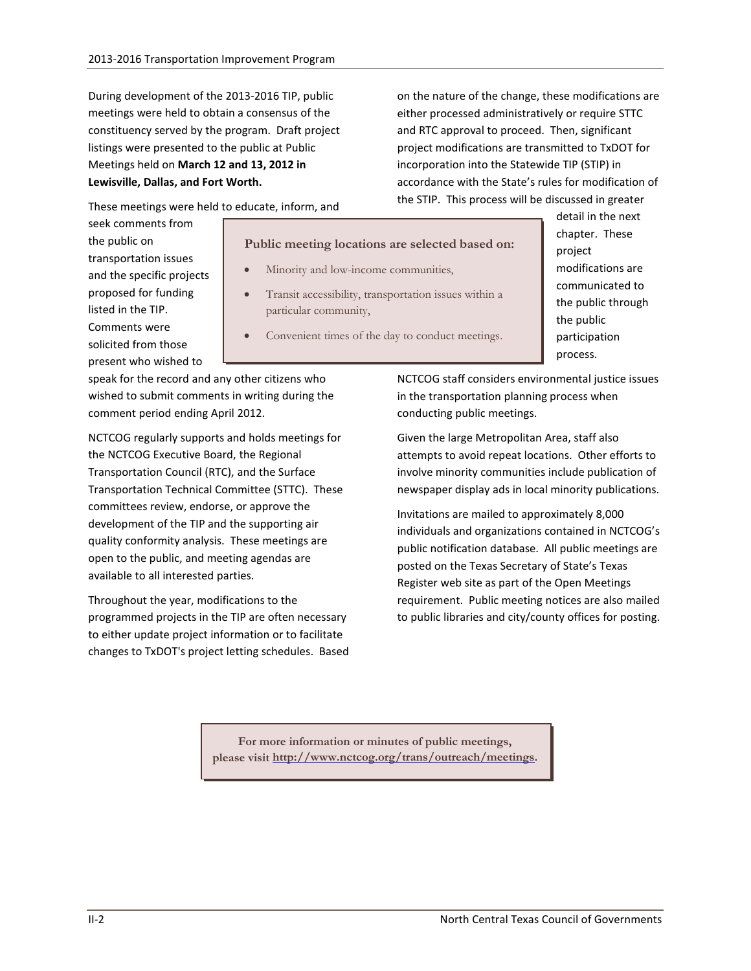During development of the 2013-2016 TIP, public meetings were held to obtain a consensus of the constituency served by the program. Draft project listings were presented to the public at Public Meetings held on **March 12 and 13, 2012 in Lewisville, Dallas, and Fort Worth.**

on the nature of the change, these modifications are either processed administratively or require STTC and RTC approval to proceed. Then, significant project modifications are transmitted to TxDOT for incorporation into the Statewide TIP (STIP) in accordance with the State's rules for modification of the STIP. This process will be discussed in greater

These meetings were held to educate, inform, and

seek comments from

transportation issues and the specific projects proposed for funding listed in the TIP. Comments were solicited from those present who wished to

the public on

**Public meeting locations are selected based on:**

- Minority and low-income communities,
- Transit accessibility, transportation issues within a particular community,
- Convenient times of the day to conduct meetings.

detail in the next chapter. These project modifications are communicated to the public through the public participation process.

speak for the record and any other citizens who wished to submit comments in writing during the comment period ending April 2012.

NCTCOG regularly supports and holds meetings for the NCTCOG Executive Board, the Regional Transportation Council (RTC), and the Surface Transportation Technical Committee (STTC). These committees review, endorse, or approve the development of the TIP and the supporting air quality conformity analysis. These meetings are open to the public, and meeting agendas are available to all interested parties.

Throughout the year, modifications to the programmed projects in the TIP are often necessary to either update project information or to facilitate changes to TxDOT's project letting schedules. Based NCTCOG staff considers environmental justice issues in the transportation planning process when conducting public meetings.

Given the large Metropolitan Area, staff also attempts to avoid repeat locations. Other efforts to involve minority communities include publication of newspaper display ads in local minority publications.

Invitations are mailed to approximately 8,000 individuals and organizations contained in NCTCOG's public notification database. All public meetings are posted on the Texas Secretary of State's Texas Register web site as part of the Open Meetings requirement. Public meeting notices are also mailed to public libraries and city/county offices for posting.

**For more information or minutes of public meetings, please visit [http://www.nctcog.org/trans/outreach/meetings.](http://www.nctcog.org/trans/outreach/meetings)**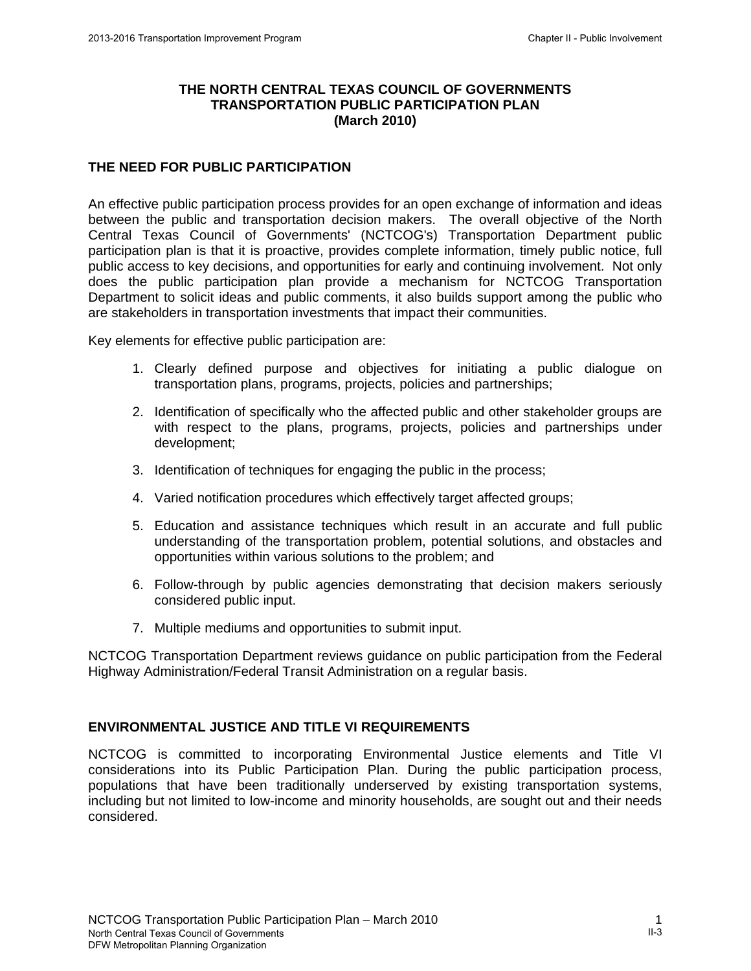## **THE NEED FOR PUBLIC PARTICIPATION**

An effective public participation process provides for an open exchange of information and ideas between the public and transportation decision makers. The overall objective of the North Central Texas Council of Governments' (NCTCOG's) Transportation Department public participation plan is that it is proactive, provides complete information, timely public notice, full public access to key decisions, and opportunities for early and continuing involvement. Not only does the public participation plan provide a mechanism for NCTCOG Transportation Department to solicit ideas and public comments, it also builds support among the public who are stakeholders in transportation investments that impact their communities.

Key elements for effective public participation are:

- 1. Clearly defined purpose and objectives for initiating a public dialogue on transportation plans, programs, projects, policies and partnerships;
- 2. Identification of specifically who the affected public and other stakeholder groups are with respect to the plans, programs, projects, policies and partnerships under development;
- 3. Identification of techniques for engaging the public in the process;
- 4. Varied notification procedures which effectively target affected groups;
- 5. Education and assistance techniques which result in an accurate and full public understanding of the transportation problem, potential solutions, and obstacles and opportunities within various solutions to the problem; and
- 6. Follow-through by public agencies demonstrating that decision makers seriously considered public input.
- 7. Multiple mediums and opportunities to submit input.

NCTCOG Transportation Department reviews guidance on public participation from the Federal Highway Administration/Federal Transit Administration on a regular basis.

## **ENVIRONMENTAL JUSTICE AND TITLE VI REQUIREMENTS**

NCTCOG is committed to incorporating Environmental Justice elements and Title VI considerations into its Public Participation Plan. During the public participation process, populations that have been traditionally underserved by existing transportation systems, including but not limited to low-income and minority households, are sought out and their needs considered.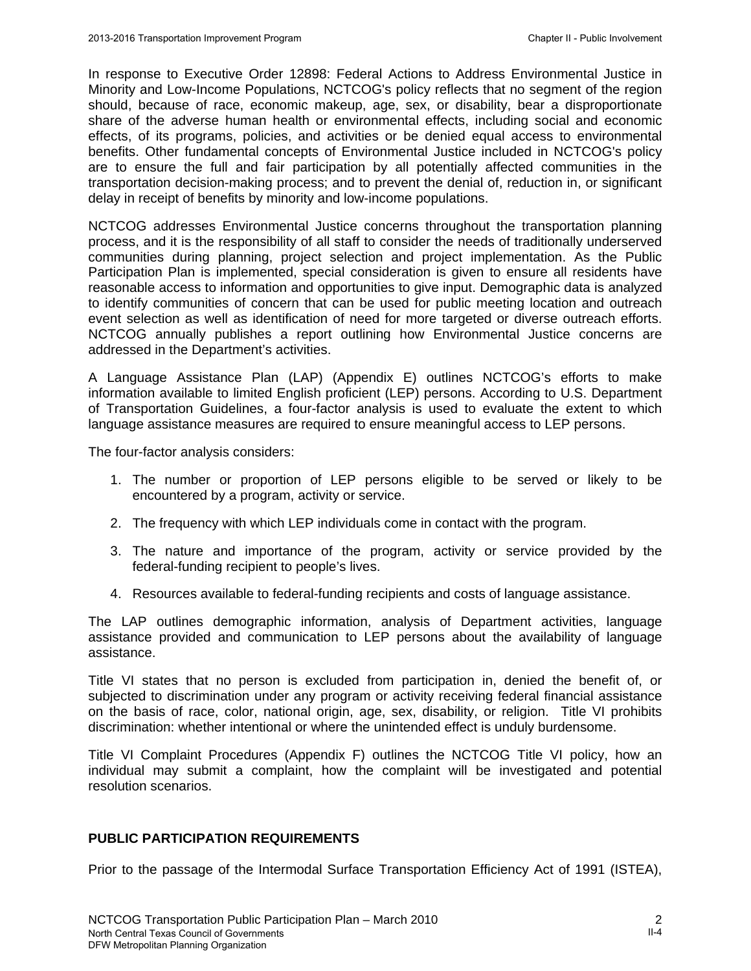In response to Executive Order 12898: Federal Actions to Address Environmental Justice in Minority and Low-Income Populations, NCTCOG's policy reflects that no segment of the region should, because of race, economic makeup, age, sex, or disability, bear a disproportionate share of the adverse human health or environmental effects, including social and economic effects, of its programs, policies, and activities or be denied equal access to environmental benefits. Other fundamental concepts of Environmental Justice included in NCTCOG's policy are to ensure the full and fair participation by all potentially affected communities in the transportation decision-making process; and to prevent the denial of, reduction in, or significant delay in receipt of benefits by minority and low-income populations.

NCTCOG addresses Environmental Justice concerns throughout the transportation planning process, and it is the responsibility of all staff to consider the needs of traditionally underserved communities during planning, project selection and project implementation. As the Public Participation Plan is implemented, special consideration is given to ensure all residents have reasonable access to information and opportunities to give input. Demographic data is analyzed to identify communities of concern that can be used for public meeting location and outreach event selection as well as identification of need for more targeted or diverse outreach efforts. NCTCOG annually publishes a report outlining how Environmental Justice concerns are addressed in the Department's activities.

A Language Assistance Plan (LAP) (Appendix E) outlines NCTCOG's efforts to make information available to limited English proficient (LEP) persons. According to U.S. Department of Transportation Guidelines, a four-factor analysis is used to evaluate the extent to which language assistance measures are required to ensure meaningful access to LEP persons.

The four-factor analysis considers:

- 1. The number or proportion of LEP persons eligible to be served or likely to be encountered by a program, activity or service.
- 2. The frequency with which LEP individuals come in contact with the program.
- 3. The nature and importance of the program, activity or service provided by the federal-funding recipient to people's lives.
- 4. Resources available to federal-funding recipients and costs of language assistance.

The LAP outlines demographic information, analysis of Department activities, language assistance provided and communication to LEP persons about the availability of language assistance.

Title VI states that no person is excluded from participation in, denied the benefit of, or subjected to discrimination under any program or activity receiving federal financial assistance on the basis of race, color, national origin, age, sex, disability, or religion. Title VI prohibits discrimination: whether intentional or where the unintended effect is unduly burdensome.

Title VI Complaint Procedures (Appendix F) outlines the NCTCOG Title VI policy, how an individual may submit a complaint, how the complaint will be investigated and potential resolution scenarios.

## **PUBLIC PARTICIPATION REQUIREMENTS**

Prior to the passage of the Intermodal Surface Transportation Efficiency Act of 1991 (ISTEA),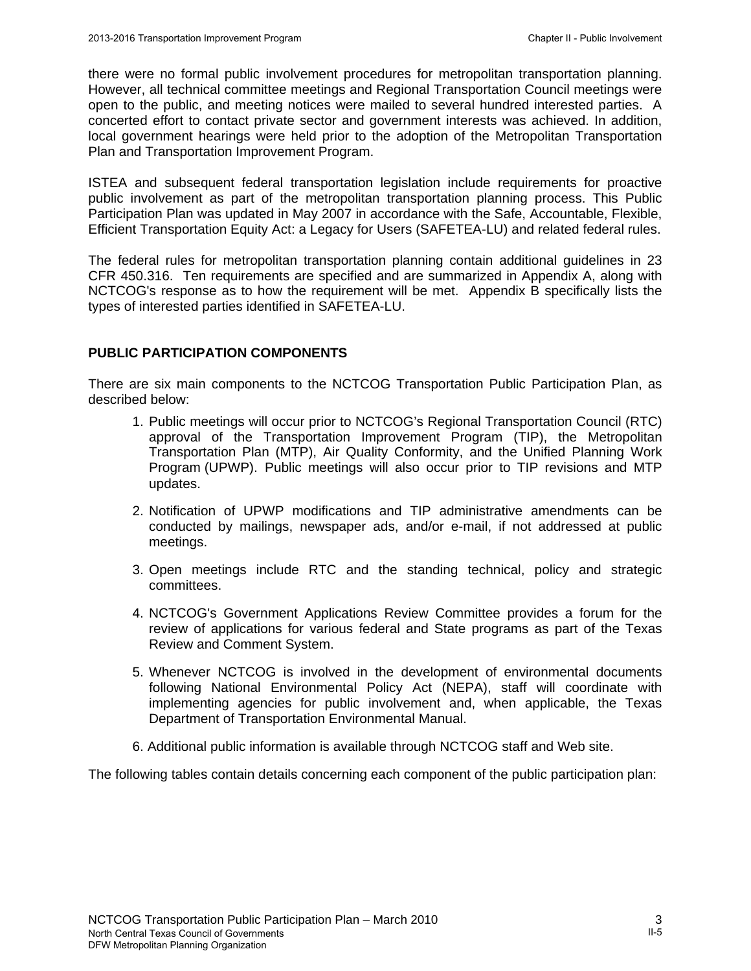there were no formal public involvement procedures for metropolitan transportation planning. However, all technical committee meetings and Regional Transportation Council meetings were open to the public, and meeting notices were mailed to several hundred interested parties. A concerted effort to contact private sector and government interests was achieved. In addition, local government hearings were held prior to the adoption of the Metropolitan Transportation Plan and Transportation Improvement Program.

ISTEA and subsequent federal transportation legislation include requirements for proactive public involvement as part of the metropolitan transportation planning process. This Public Participation Plan was updated in May 2007 in accordance with the Safe, Accountable, Flexible, Efficient Transportation Equity Act: a Legacy for Users (SAFETEA-LU) and related federal rules.

The federal rules for metropolitan transportation planning contain additional guidelines in 23 CFR 450.316. Ten requirements are specified and are summarized in Appendix A, along with NCTCOG's response as to how the requirement will be met. Appendix B specifically lists the types of interested parties identified in SAFETEA-LU.

## **PUBLIC PARTICIPATION COMPONENTS**

There are six main components to the NCTCOG Transportation Public Participation Plan, as described below:

- 1. Public meetings will occur prior to NCTCOG's Regional Transportation Council (RTC) approval of the Transportation Improvement Program (TIP), the Metropolitan Transportation Plan (MTP), Air Quality Conformity, and the Unified Planning Work Program (UPWP). Public meetings will also occur prior to TIP revisions and MTP updates.
- 2. Notification of UPWP modifications and TIP administrative amendments can be conducted by mailings, newspaper ads, and/or e-mail, if not addressed at public meetings.
- 3. Open meetings include RTC and the standing technical, policy and strategic committees.
- 4. NCTCOG's Government Applications Review Committee provides a forum for the review of applications for various federal and State programs as part of the Texas Review and Comment System.
- 5. Whenever NCTCOG is involved in the development of environmental documents following National Environmental Policy Act (NEPA), staff will coordinate with implementing agencies for public involvement and, when applicable, the Texas Department of Transportation Environmental Manual.
- 6. Additional public information is available through NCTCOG staff and Web site.

The following tables contain details concerning each component of the public participation plan: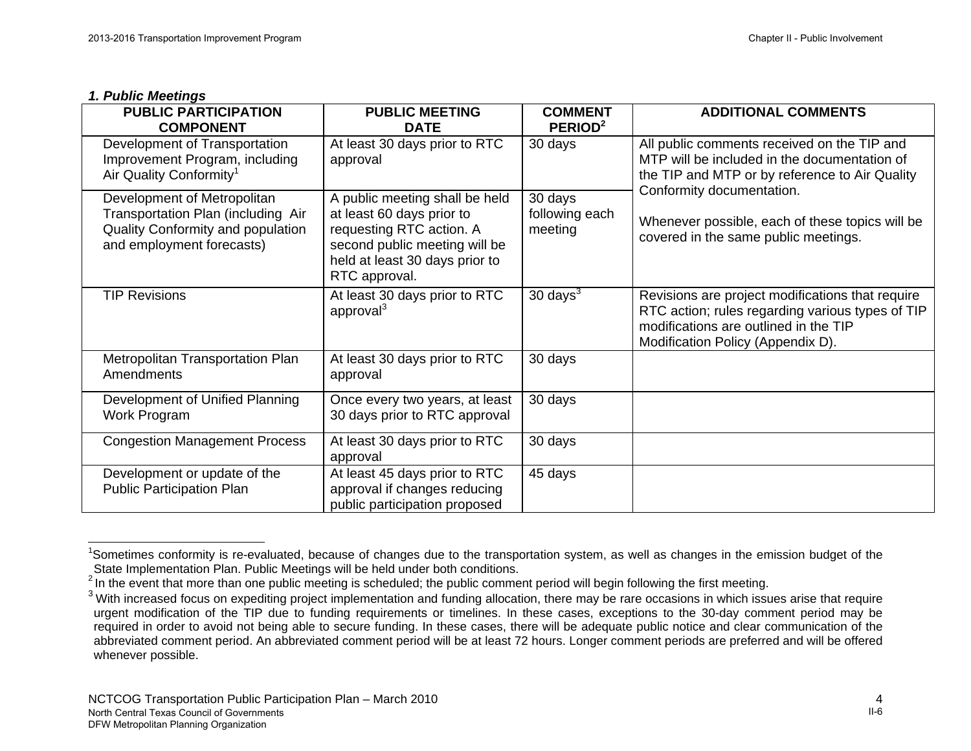#### *1. Public Meetings*

| <b>PUBLIC PARTICIPATION</b><br><b>COMPONENT</b>                                                                                     | <b>PUBLIC MEETING</b><br><b>DATE</b>                                                                                                                                        | <b>COMMENT</b><br>PERIOD <sup>2</sup> | <b>ADDITIONAL COMMENTS</b>                                                                                                                                                         |
|-------------------------------------------------------------------------------------------------------------------------------------|-----------------------------------------------------------------------------------------------------------------------------------------------------------------------------|---------------------------------------|------------------------------------------------------------------------------------------------------------------------------------------------------------------------------------|
| Development of Transportation<br>Improvement Program, including<br>Air Quality Conformity <sup>1</sup>                              | At least 30 days prior to RTC<br>approval                                                                                                                                   | 30 days                               | All public comments received on the TIP and<br>MTP will be included in the documentation of<br>the TIP and MTP or by reference to Air Quality                                      |
| Development of Metropolitan<br>Transportation Plan (including Air<br>Quality Conformity and population<br>and employment forecasts) | A public meeting shall be held<br>at least 60 days prior to<br>requesting RTC action. A<br>second public meeting will be<br>held at least 30 days prior to<br>RTC approval. | 30 days<br>following each<br>meeting  | Conformity documentation.<br>Whenever possible, each of these topics will be<br>covered in the same public meetings.                                                               |
| <b>TIP Revisions</b>                                                                                                                | At least 30 days prior to RTC<br>approval <sup>3</sup>                                                                                                                      | $30 \text{ days}^3$                   | Revisions are project modifications that require<br>RTC action; rules regarding various types of TIP<br>modifications are outlined in the TIP<br>Modification Policy (Appendix D). |
| Metropolitan Transportation Plan<br><b>Amendments</b>                                                                               | At least 30 days prior to RTC<br>approval                                                                                                                                   | 30 days                               |                                                                                                                                                                                    |
| Development of Unified Planning<br>Work Program                                                                                     | Once every two years, at least<br>30 days prior to RTC approval                                                                                                             | 30 days                               |                                                                                                                                                                                    |
| <b>Congestion Management Process</b>                                                                                                | At least 30 days prior to RTC<br>approval                                                                                                                                   | 30 days                               |                                                                                                                                                                                    |
| Development or update of the<br><b>Public Participation Plan</b>                                                                    | At least 45 days prior to RTC<br>approval if changes reducing<br>public participation proposed                                                                              | 45 days                               |                                                                                                                                                                                    |

<sup>&</sup>lt;sup>1</sup>Sometimes conformity is re-evaluated, because of changes due to the transportation system, as well as changes in the emission budget of the<br>State Implementation Plan. Public Meetings will be held under both conditions.

 $2$  In the event that more than one public meeting is scheduled; the public comment period will begin following the first meeting.

<sup>&</sup>lt;sup>3</sup> With increased focus on expediting project implementation and funding allocation, there may be rare occasions in which issues arise that require urgent modification of the TIP due to funding requirements or timelines. In these cases, exceptions to the 30-day comment period may be required in order to avoid not being able to secure funding. In these cases, there will be adequate public notice and clear communication of the abbreviated comment period. An abbreviated comment period will be at least 72 hours. Longer comment periods are preferred and will be offered whenever possible.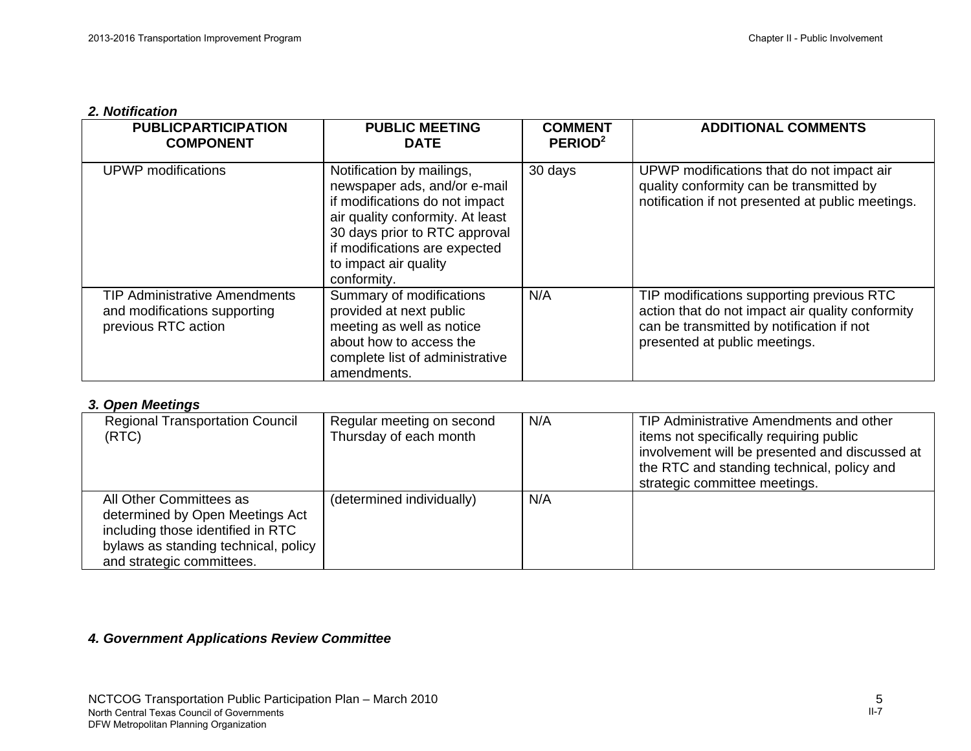#### *2. Notification*

| <b>PUBLICPARTICIPATION</b><br><b>COMPONENT</b>                                              | <b>PUBLIC MEETING</b><br><b>DATE</b>                                                                                                                                                                                                      | <b>COMMENT</b><br>PERIOD <sup>2</sup> | <b>ADDITIONAL COMMENTS</b>                                                                                                                                                  |
|---------------------------------------------------------------------------------------------|-------------------------------------------------------------------------------------------------------------------------------------------------------------------------------------------------------------------------------------------|---------------------------------------|-----------------------------------------------------------------------------------------------------------------------------------------------------------------------------|
| <b>UPWP</b> modifications                                                                   | Notification by mailings,<br>newspaper ads, and/or e-mail<br>if modifications do not impact<br>air quality conformity. At least<br>30 days prior to RTC approval<br>if modifications are expected<br>to impact air quality<br>conformity. | 30 days                               | UPWP modifications that do not impact air<br>quality conformity can be transmitted by<br>notification if not presented at public meetings.                                  |
| <b>TIP Administrative Amendments</b><br>and modifications supporting<br>previous RTC action | Summary of modifications<br>provided at next public<br>meeting as well as notice<br>about how to access the<br>complete list of administrative<br>amendments.                                                                             | N/A                                   | TIP modifications supporting previous RTC<br>action that do not impact air quality conformity<br>can be transmitted by notification if not<br>presented at public meetings. |

#### *3. Open Meetings*

| . <i>. .</i>                                                                                                                                                         |                                                     |     |                                                                                                                                                                                                                     |
|----------------------------------------------------------------------------------------------------------------------------------------------------------------------|-----------------------------------------------------|-----|---------------------------------------------------------------------------------------------------------------------------------------------------------------------------------------------------------------------|
| <b>Regional Transportation Council</b><br>(RTC)                                                                                                                      | Regular meeting on second<br>Thursday of each month | N/A | TIP Administrative Amendments and other<br>items not specifically requiring public<br>involvement will be presented and discussed at<br>the RTC and standing technical, policy and<br>strategic committee meetings. |
| All Other Committees as<br>determined by Open Meetings Act<br>including those identified in RTC<br>bylaws as standing technical, policy<br>and strategic committees. | (determined individually)                           | N/A |                                                                                                                                                                                                                     |

## *4. Government Applications Review Committee*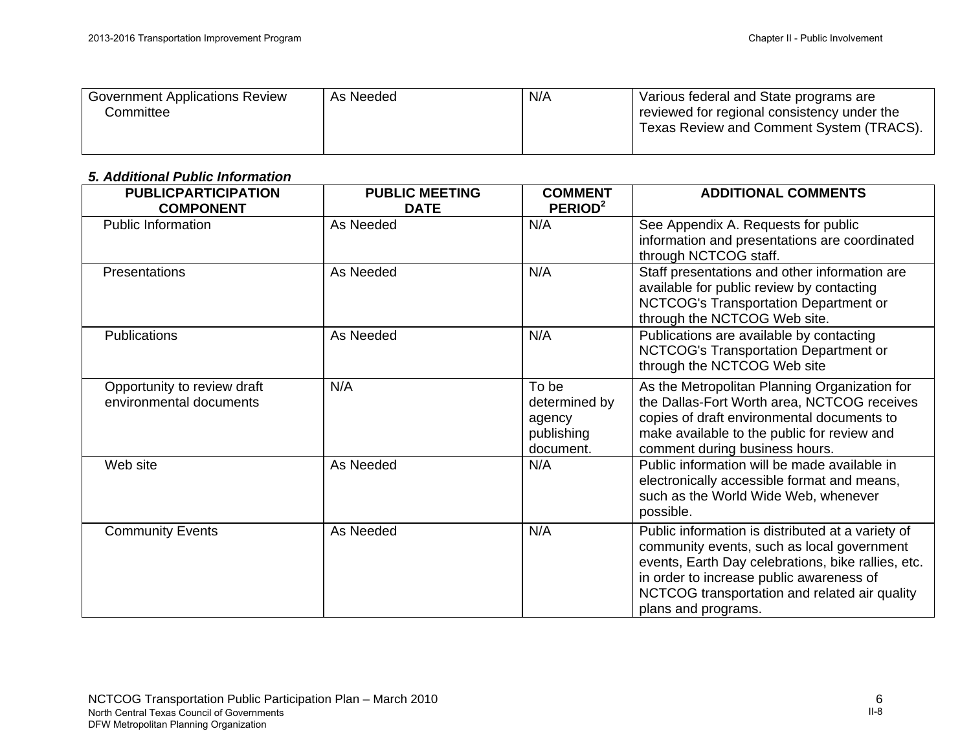| <b>Government Applications Review</b> | As Needed | N/A | Various federal and State programs are      |
|---------------------------------------|-----------|-----|---------------------------------------------|
| Committee                             |           |     | reviewed for regional consistency under the |
|                                       |           |     | Texas Review and Comment System (TRACS).    |
|                                       |           |     |                                             |

#### **PUBLICPARTICIPATION COMPONENTPUBLIC MEETING DATECOMMENT PERIOD<sup>2</sup> ADDITIONAL COMMENTS**Public Information As Needed N/A See Appendix A. Requests for public information and presentations are coordinated through NCTCOG staff. Presentations **As Needed** As Needed **N/A** Staff presentations and other information are available for public review by contacting NCTCOG's Transportation Department or through the NCTCOG Web site. Publications <br>
As Needed 
N/A Publications are available by contacting NCTCOG's Transportation Department or through the NCTCOG Web site Opportunity to review draft environmental documents N/A To be determined by agency publishing document. As the Metropolitan Planning Organization for the Dallas-Fort Worth area, NCTCOG receives copies of draft environmental documents to make available to the public for review and comment during business hours. Web site As Needed As Needed N/A Public information will be made available in electronically accessible format and means, such as the World Wide Web, whenever possible. Community Events As Needed As Needed As Alexander Assembly Ann Ann and As Needed As A VA Community Events a variety of community events, such as local government events, Earth Day celebrations, bike rallies, etc. in order to increase public awareness of NCTCOG transportation and related air quality plans and programs.

#### *5. Additional Public Information*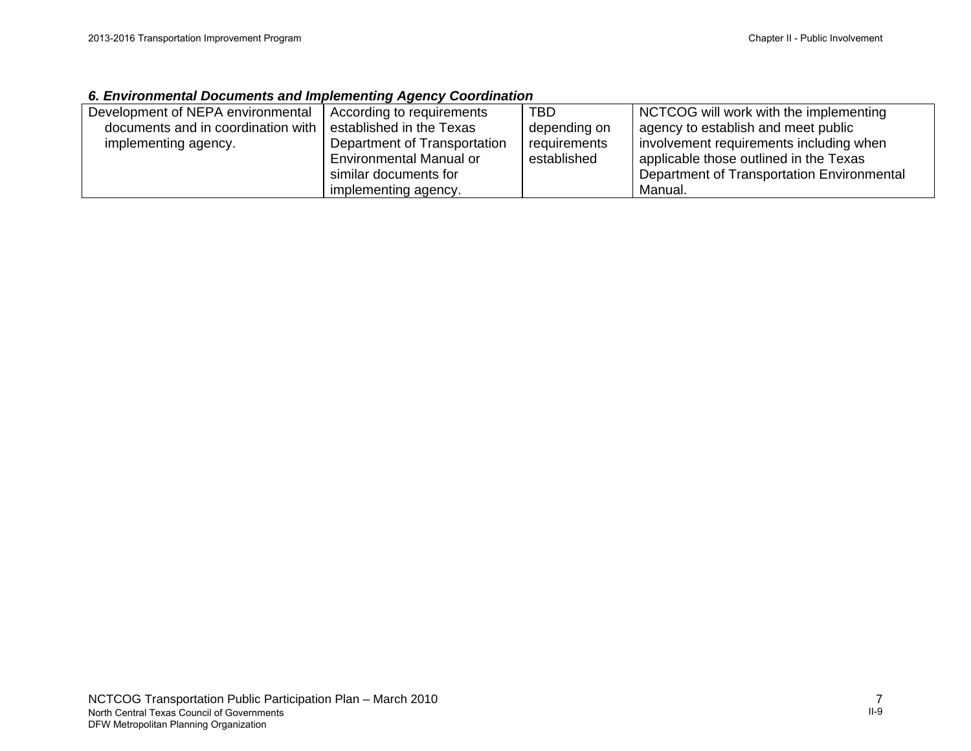## *6. Environmental Documents and Implementing Agency Coordination*

| Development of NEPA environmental<br>According to requirements |                                              | TBD          | NCTCOG will work with the implementing     |  |  |
|----------------------------------------------------------------|----------------------------------------------|--------------|--------------------------------------------|--|--|
| documents and in coordination with<br>established in the Texas |                                              | depending on | agency to establish and meet public        |  |  |
| implementing agency.                                           | Department of Transportation<br>requirements |              | involvement requirements including when    |  |  |
| <b>Environmental Manual or</b>                                 |                                              | established  | applicable those outlined in the Texas     |  |  |
|                                                                | similar documents for                        |              | Department of Transportation Environmental |  |  |
|                                                                | implementing agency.                         |              | Manual.                                    |  |  |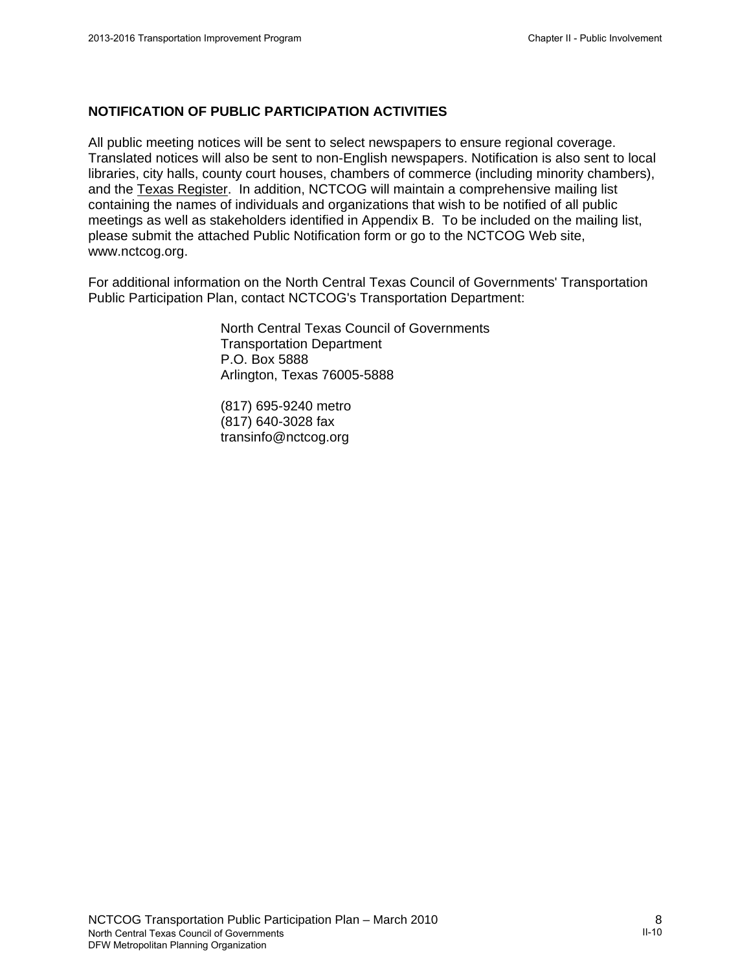## **NOTIFICATION OF PUBLIC PARTICIPATION ACTIVITIES**

All public meeting notices will be sent to select newspapers to ensure regional coverage. Translated notices will also be sent to non-English newspapers. Notification is also sent to local libraries, city halls, county court houses, chambers of commerce (including minority chambers), and the Texas Register. In addition, NCTCOG will maintain a comprehensive mailing list containing the names of individuals and organizations that wish to be notified of all public meetings as well as stakeholders identified in Appendix B. To be included on the mailing list, please submit the attached Public Notification form or go to the NCTCOG Web site, www.nctcog.org.

For additional information on the North Central Texas Council of Governments' Transportation Public Participation Plan, contact NCTCOG's Transportation Department:

> North Central Texas Council of Governments Transportation Department P.O. Box 5888 Arlington, Texas 76005-5888

 (817) 695-9240 metro (817) 640-3028 fax transinfo@nctcog.org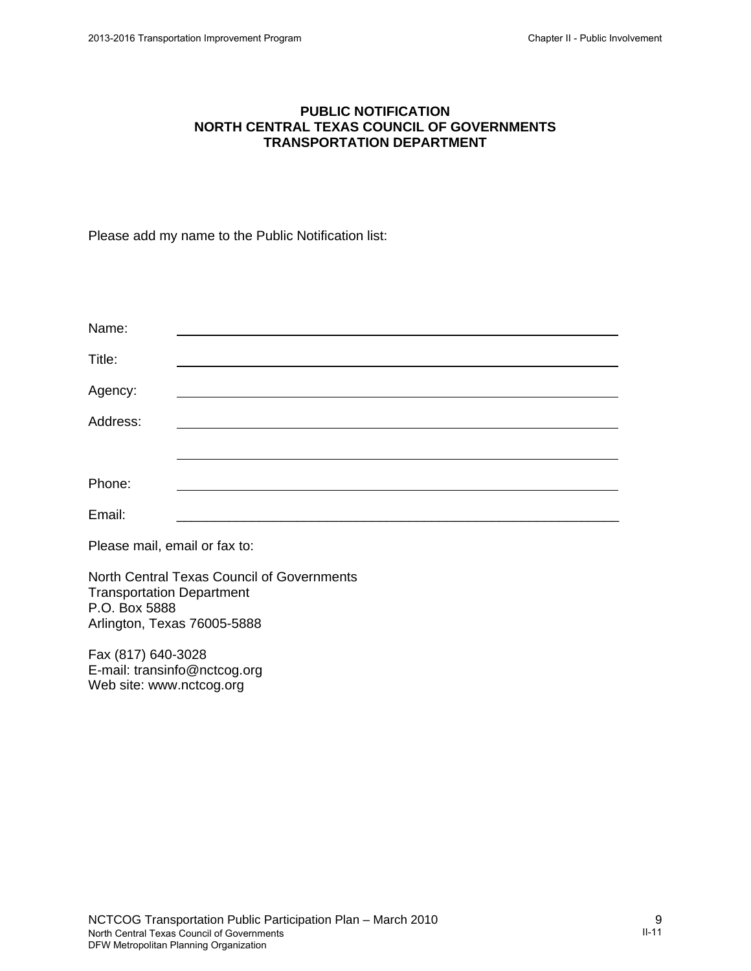#### **PUBLIC NOTIFICATION NORTH CENTRAL TEXAS COUNCIL OF GOVERNMENTS TRANSPORTATION DEPARTMENT**

Please add my name to the Public Notification list:

| Name:    |  |
|----------|--|
| Title:   |  |
| Agency:  |  |
| Address: |  |
|          |  |
| Phone:   |  |
| Email:   |  |

Please mail, email or fax to:

North Central Texas Council of Governments Transportation Department P.O. Box 5888 Arlington, Texas 76005-5888

Fax (817) 640-3028 E-mail: transinfo@nctcog.org Web site: www.nctcog.org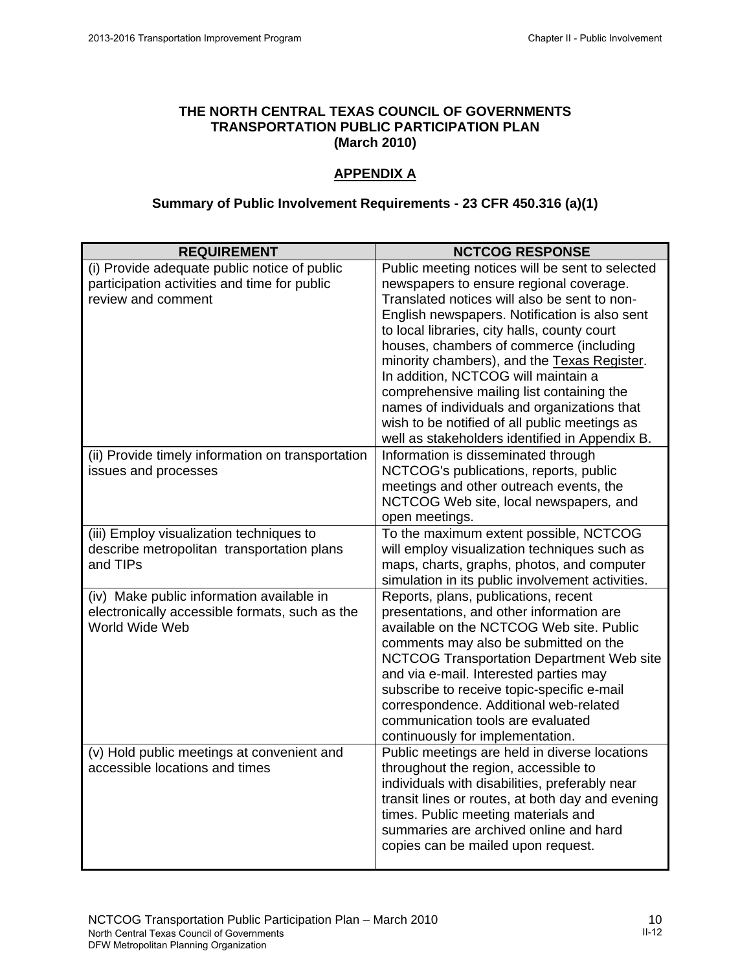## **APPENDIX A**

## **Summary of Public Involvement Requirements - 23 CFR 450.316 (a)(1)**

| <b>REQUIREMENT</b>                                                                                                 | <b>NCTCOG RESPONSE</b>                                                                                                                                                                                                                                                                                                                                                                                                                                                                                                                                                      |
|--------------------------------------------------------------------------------------------------------------------|-----------------------------------------------------------------------------------------------------------------------------------------------------------------------------------------------------------------------------------------------------------------------------------------------------------------------------------------------------------------------------------------------------------------------------------------------------------------------------------------------------------------------------------------------------------------------------|
| (i) Provide adequate public notice of public<br>participation activities and time for public<br>review and comment | Public meeting notices will be sent to selected<br>newspapers to ensure regional coverage.<br>Translated notices will also be sent to non-<br>English newspapers. Notification is also sent<br>to local libraries, city halls, county court<br>houses, chambers of commerce (including<br>minority chambers), and the Texas Register.<br>In addition, NCTCOG will maintain a<br>comprehensive mailing list containing the<br>names of individuals and organizations that<br>wish to be notified of all public meetings as<br>well as stakeholders identified in Appendix B. |
| (ii) Provide timely information on transportation<br>issues and processes                                          | Information is disseminated through<br>NCTCOG's publications, reports, public<br>meetings and other outreach events, the<br>NCTCOG Web site, local newspapers, and<br>open meetings.                                                                                                                                                                                                                                                                                                                                                                                        |
| (iii) Employ visualization techniques to<br>describe metropolitan transportation plans<br>and TIPs                 | To the maximum extent possible, NCTCOG<br>will employ visualization techniques such as<br>maps, charts, graphs, photos, and computer<br>simulation in its public involvement activities.                                                                                                                                                                                                                                                                                                                                                                                    |
| (iv) Make public information available in<br>electronically accessible formats, such as the<br>World Wide Web      | Reports, plans, publications, recent<br>presentations, and other information are<br>available on the NCTCOG Web site. Public<br>comments may also be submitted on the<br><b>NCTCOG Transportation Department Web site</b><br>and via e-mail. Interested parties may<br>subscribe to receive topic-specific e-mail<br>correspondence. Additional web-related<br>communication tools are evaluated<br>continuously for implementation.                                                                                                                                        |
| (v) Hold public meetings at convenient and<br>accessible locations and times                                       | Public meetings are held in diverse locations<br>throughout the region, accessible to<br>individuals with disabilities, preferably near<br>transit lines or routes, at both day and evening<br>times. Public meeting materials and<br>summaries are archived online and hard<br>copies can be mailed upon request.                                                                                                                                                                                                                                                          |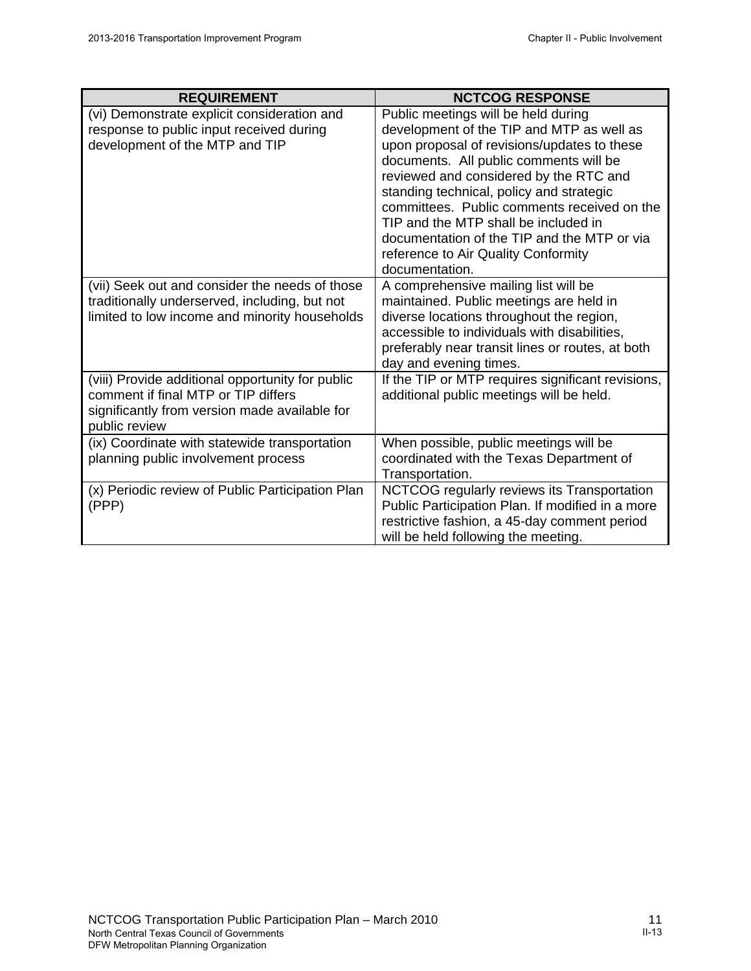| <b>REQUIREMENT</b>                                                                                                                                        | <b>NCTCOG RESPONSE</b>                                                                                                                                                                                                                                                                                                                                                                                                                                         |
|-----------------------------------------------------------------------------------------------------------------------------------------------------------|----------------------------------------------------------------------------------------------------------------------------------------------------------------------------------------------------------------------------------------------------------------------------------------------------------------------------------------------------------------------------------------------------------------------------------------------------------------|
| (vi) Demonstrate explicit consideration and<br>response to public input received during<br>development of the MTP and TIP                                 | Public meetings will be held during<br>development of the TIP and MTP as well as<br>upon proposal of revisions/updates to these<br>documents. All public comments will be<br>reviewed and considered by the RTC and<br>standing technical, policy and strategic<br>committees. Public comments received on the<br>TIP and the MTP shall be included in<br>documentation of the TIP and the MTP or via<br>reference to Air Quality Conformity<br>documentation. |
| (vii) Seek out and consider the needs of those<br>traditionally underserved, including, but not<br>limited to low income and minority households          | A comprehensive mailing list will be<br>maintained. Public meetings are held in<br>diverse locations throughout the region,<br>accessible to individuals with disabilities,<br>preferably near transit lines or routes, at both<br>day and evening times.                                                                                                                                                                                                      |
| (viii) Provide additional opportunity for public<br>comment if final MTP or TIP differs<br>significantly from version made available for<br>public review | If the TIP or MTP requires significant revisions,<br>additional public meetings will be held.                                                                                                                                                                                                                                                                                                                                                                  |
| (ix) Coordinate with statewide transportation<br>planning public involvement process                                                                      | When possible, public meetings will be<br>coordinated with the Texas Department of<br>Transportation.                                                                                                                                                                                                                                                                                                                                                          |
| (x) Periodic review of Public Participation Plan<br>(PPP)                                                                                                 | NCTCOG regularly reviews its Transportation<br>Public Participation Plan. If modified in a more<br>restrictive fashion, a 45-day comment period<br>will be held following the meeting.                                                                                                                                                                                                                                                                         |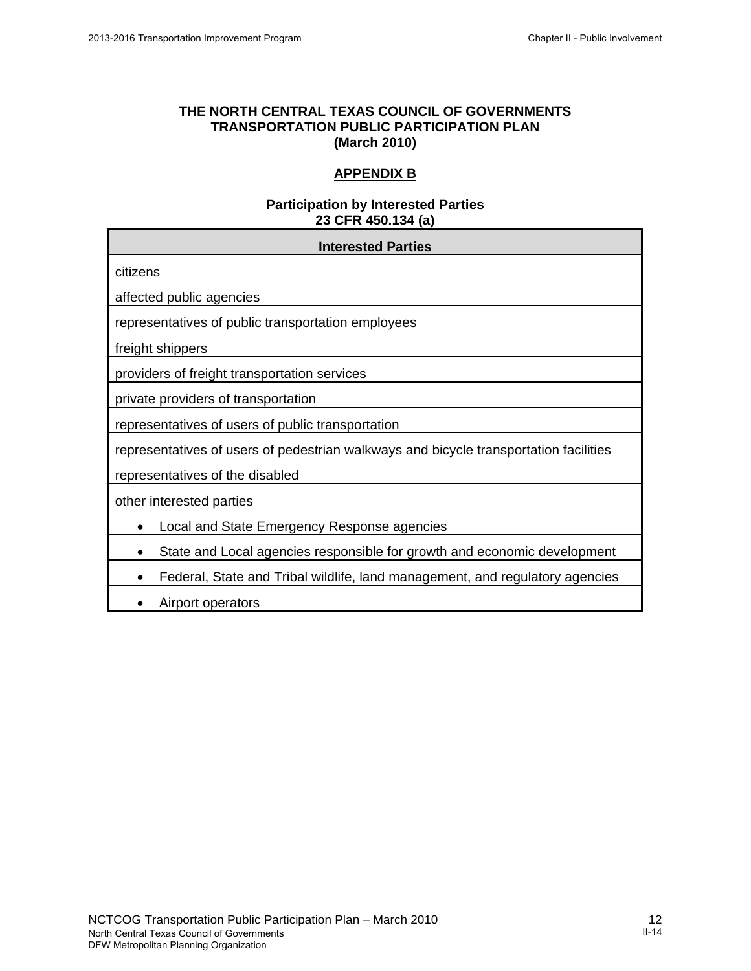## **APPENDIX B**

#### **Participation by Interested Parties 23 CFR 450.134 (a)**

## **Interested Parties**

citizens

affected public agencies

representatives of public transportation employees

freight shippers

providers of freight transportation services

private providers of transportation

representatives of users of public transportation

representatives of users of pedestrian walkways and bicycle transportation facilities

representatives of the disabled

other interested parties

• Local and State Emergency Response agencies

State and Local agencies responsible for growth and economic development

Federal, State and Tribal wildlife, land management, and regulatory agencies

• Airport operators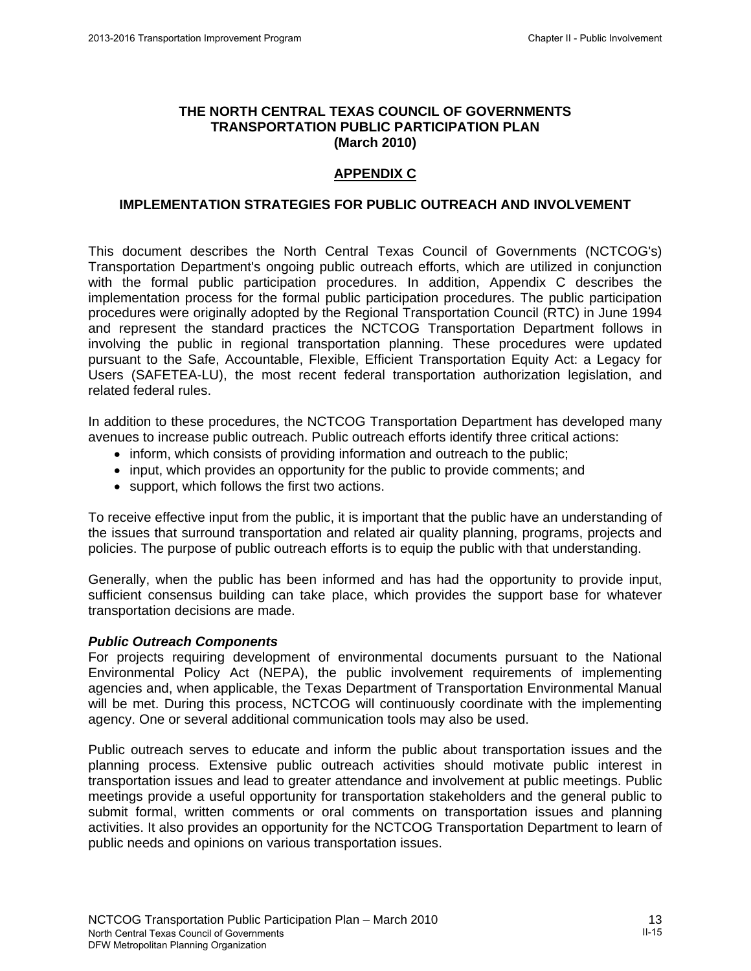## **APPENDIX C**

#### **IMPLEMENTATION STRATEGIES FOR PUBLIC OUTREACH AND INVOLVEMENT**

This document describes the North Central Texas Council of Governments (NCTCOG's) Transportation Department's ongoing public outreach efforts, which are utilized in conjunction with the formal public participation procedures. In addition, Appendix C describes the implementation process for the formal public participation procedures. The public participation procedures were originally adopted by the Regional Transportation Council (RTC) in June 1994 and represent the standard practices the NCTCOG Transportation Department follows in involving the public in regional transportation planning. These procedures were updated pursuant to the Safe, Accountable, Flexible, Efficient Transportation Equity Act: a Legacy for Users (SAFETEA-LU), the most recent federal transportation authorization legislation, and related federal rules.

In addition to these procedures, the NCTCOG Transportation Department has developed many avenues to increase public outreach. Public outreach efforts identify three critical actions:

- inform, which consists of providing information and outreach to the public;
- input, which provides an opportunity for the public to provide comments; and
- support, which follows the first two actions.

To receive effective input from the public, it is important that the public have an understanding of the issues that surround transportation and related air quality planning, programs, projects and policies. The purpose of public outreach efforts is to equip the public with that understanding.

Generally, when the public has been informed and has had the opportunity to provide input, sufficient consensus building can take place, which provides the support base for whatever transportation decisions are made.

#### *Public Outreach Components*

For projects requiring development of environmental documents pursuant to the National Environmental Policy Act (NEPA), the public involvement requirements of implementing agencies and, when applicable, the Texas Department of Transportation Environmental Manual will be met. During this process, NCTCOG will continuously coordinate with the implementing agency. One or several additional communication tools may also be used.

Public outreach serves to educate and inform the public about transportation issues and the planning process. Extensive public outreach activities should motivate public interest in transportation issues and lead to greater attendance and involvement at public meetings. Public meetings provide a useful opportunity for transportation stakeholders and the general public to submit formal, written comments or oral comments on transportation issues and planning activities. It also provides an opportunity for the NCTCOG Transportation Department to learn of public needs and opinions on various transportation issues.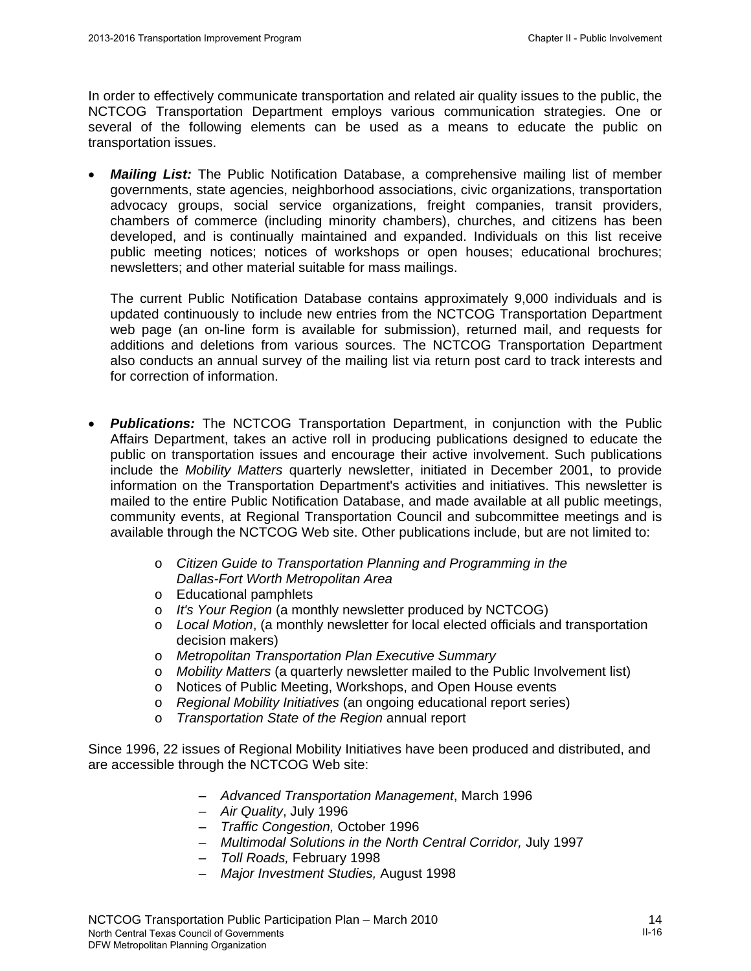In order to effectively communicate transportation and related air quality issues to the public, the NCTCOG Transportation Department employs various communication strategies. One or several of the following elements can be used as a means to educate the public on transportation issues.

 *Mailing List:* The Public Notification Database, a comprehensive mailing list of member governments, state agencies, neighborhood associations, civic organizations, transportation advocacy groups, social service organizations, freight companies, transit providers, chambers of commerce (including minority chambers), churches, and citizens has been developed, and is continually maintained and expanded. Individuals on this list receive public meeting notices; notices of workshops or open houses; educational brochures; newsletters; and other material suitable for mass mailings.

The current Public Notification Database contains approximately 9,000 individuals and is updated continuously to include new entries from the NCTCOG Transportation Department web page (an on-line form is available for submission), returned mail, and requests for additions and deletions from various sources. The NCTCOG Transportation Department also conducts an annual survey of the mailing list via return post card to track interests and for correction of information.

- *Publications:* The NCTCOG Transportation Department, in conjunction with the Public Affairs Department, takes an active roll in producing publications designed to educate the public on transportation issues and encourage their active involvement. Such publications include the *Mobility Matters* quarterly newsletter, initiated in December 2001, to provide information on the Transportation Department's activities and initiatives. This newsletter is mailed to the entire Public Notification Database, and made available at all public meetings, community events, at Regional Transportation Council and subcommittee meetings and is available through the NCTCOG Web site. Other publications include, but are not limited to:
	- o *Citizen Guide to Transportation Planning and Programming in the Dallas-Fort Worth Metropolitan Area*
	- o Educational pamphlets
	- o *It's Your Region* (a monthly newsletter produced by NCTCOG)
	- o *Local Motion*, (a monthly newsletter for local elected officials and transportation decision makers)
	- o *Metropolitan Transportation Plan Executive Summary*
	- o *Mobility Matters* (a quarterly newsletter mailed to the Public Involvement list)
	- o Notices of Public Meeting, Workshops, and Open House events
	- o *Regional Mobility Initiatives* (an ongoing educational report series)
	- o *Transportation State of the Region* annual report

Since 1996, 22 issues of Regional Mobility Initiatives have been produced and distributed, and are accessible through the NCTCOG Web site:

- *Advanced Transportation Management*, March 1996
- *Air Quality*, July 1996
- *Traffic Congestion,* October 1996
- *Multimodal Solutions in the North Central Corridor,* July 1997
- *Toll Roads,* February 1998
- *Major Investment Studies,* August 1998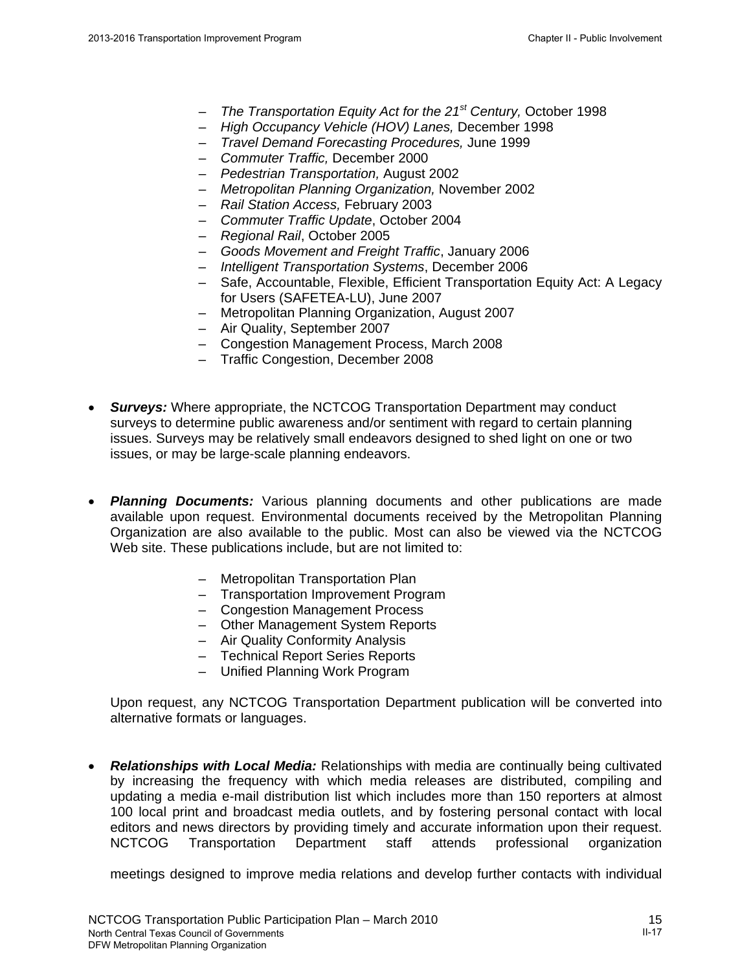- *The Transportation Equity Act for the 21st Century,* October 1998
- *High Occupancy Vehicle (HOV) Lanes,* December 1998
- *Travel Demand Forecasting Procedures,* June 1999
- *Commuter Traffic,* December 2000
- *Pedestrian Transportation,* August 2002
- *Metropolitan Planning Organization,* November 2002
- *Rail Station Access,* February 2003
- *Commuter Traffic Update*, October 2004
- *Regional Rail*, October 2005
- *Goods Movement and Freight Traffic*, January 2006
- *Intelligent Transportation Systems*, December 2006
- Safe, Accountable, Flexible, Efficient Transportation Equity Act: A Legacy for Users (SAFETEA-LU), June 2007
- Metropolitan Planning Organization, August 2007
- Air Quality, September 2007
- Congestion Management Process, March 2008
- Traffic Congestion, December 2008
- *Surveys:* Where appropriate, the NCTCOG Transportation Department may conduct surveys to determine public awareness and/or sentiment with regard to certain planning issues. Surveys may be relatively small endeavors designed to shed light on one or two issues, or may be large-scale planning endeavors.
- *Planning Documents:* Various planning documents and other publications are made available upon request. Environmental documents received by the Metropolitan Planning Organization are also available to the public. Most can also be viewed via the NCTCOG Web site. These publications include, but are not limited to:
	- Metropolitan Transportation Plan
	- Transportation Improvement Program
	- Congestion Management Process
	- Other Management System Reports
	- Air Quality Conformity Analysis
	- Technical Report Series Reports
	- Unified Planning Work Program

Upon request, any NCTCOG Transportation Department publication will be converted into alternative formats or languages.

 *Relationships with Local Media:* Relationships with media are continually being cultivated by increasing the frequency with which media releases are distributed, compiling and updating a media e-mail distribution list which includes more than 150 reporters at almost 100 local print and broadcast media outlets, and by fostering personal contact with local editors and news directors by providing timely and accurate information upon their request. NCTCOG Transportation Department staff attends professional organization

meetings designed to improve media relations and develop further contacts with individual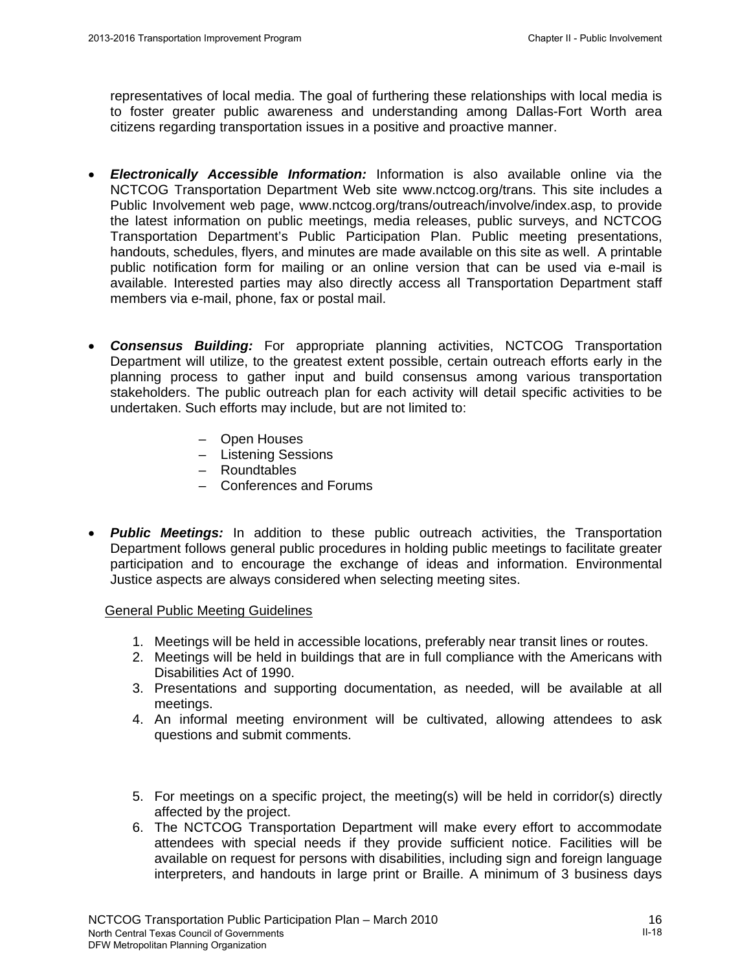representatives of local media. The goal of furthering these relationships with local media is to foster greater public awareness and understanding among Dallas-Fort Worth area citizens regarding transportation issues in a positive and proactive manner.

- *Electronically Accessible Information:* Information is also available online via the NCTCOG Transportation Department Web site www.nctcog.org/trans. This site includes a Public Involvement web page, www.nctcog.org/trans/outreach/involve/index.asp, to provide the latest information on public meetings, media releases, public surveys, and NCTCOG Transportation Department's Public Participation Plan. Public meeting presentations, handouts, schedules, flyers, and minutes are made available on this site as well. A printable public notification form for mailing or an online version that can be used via e-mail is available. Interested parties may also directly access all Transportation Department staff members via e-mail, phone, fax or postal mail.
- *Consensus Building:* For appropriate planning activities, NCTCOG Transportation Department will utilize, to the greatest extent possible, certain outreach efforts early in the planning process to gather input and build consensus among various transportation stakeholders. The public outreach plan for each activity will detail specific activities to be undertaken. Such efforts may include, but are not limited to:
	- Open Houses
	- Listening Sessions
	- Roundtables
	- Conferences and Forums
- *Public Meetings:* In addition to these public outreach activities, the Transportation Department follows general public procedures in holding public meetings to facilitate greater participation and to encourage the exchange of ideas and information. Environmental Justice aspects are always considered when selecting meeting sites.

## General Public Meeting Guidelines

- 1. Meetings will be held in accessible locations, preferably near transit lines or routes.
- 2. Meetings will be held in buildings that are in full compliance with the Americans with Disabilities Act of 1990.
- 3. Presentations and supporting documentation, as needed, will be available at all meetings.
- 4. An informal meeting environment will be cultivated, allowing attendees to ask questions and submit comments.
- 5. For meetings on a specific project, the meeting(s) will be held in corridor(s) directly affected by the project.
- 6. The NCTCOG Transportation Department will make every effort to accommodate attendees with special needs if they provide sufficient notice. Facilities will be available on request for persons with disabilities, including sign and foreign language interpreters, and handouts in large print or Braille. A minimum of 3 business days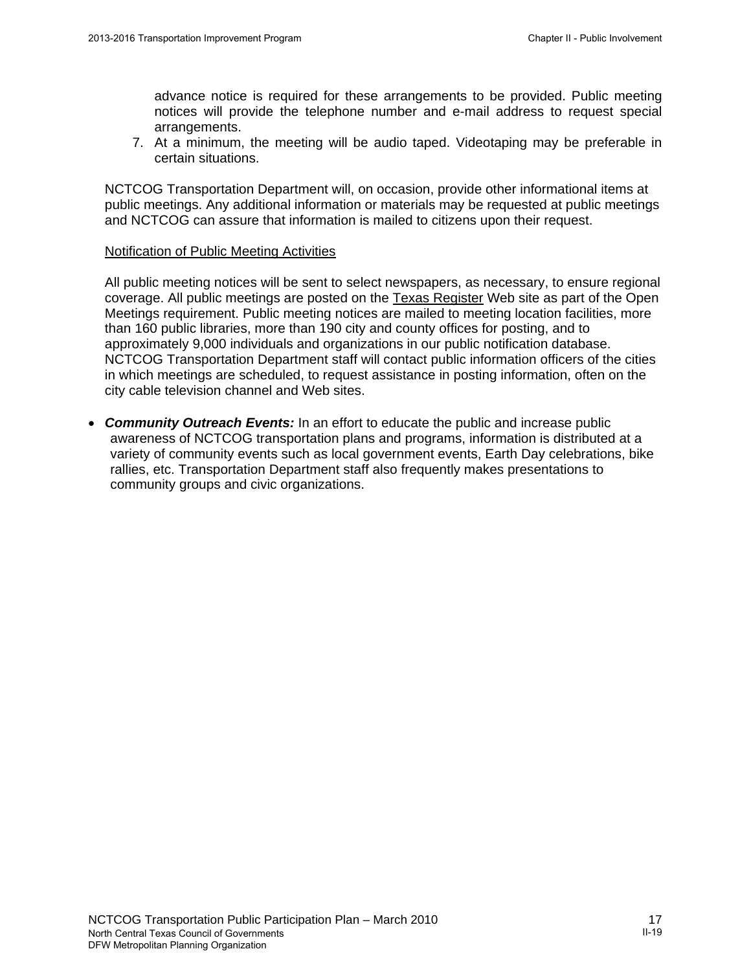advance notice is required for these arrangements to be provided. Public meeting notices will provide the telephone number and e-mail address to request special arrangements.

7. At a minimum, the meeting will be audio taped. Videotaping may be preferable in certain situations.

NCTCOG Transportation Department will, on occasion, provide other informational items at public meetings. Any additional information or materials may be requested at public meetings and NCTCOG can assure that information is mailed to citizens upon their request.

#### Notification of Public Meeting Activities

All public meeting notices will be sent to select newspapers, as necessary, to ensure regional coverage. All public meetings are posted on the Texas Register Web site as part of the Open Meetings requirement. Public meeting notices are mailed to meeting location facilities, more than 160 public libraries, more than 190 city and county offices for posting, and to approximately 9,000 individuals and organizations in our public notification database. NCTCOG Transportation Department staff will contact public information officers of the cities in which meetings are scheduled, to request assistance in posting information, often on the city cable television channel and Web sites.

 *Community Outreach Events:* In an effort to educate the public and increase public awareness of NCTCOG transportation plans and programs, information is distributed at a variety of community events such as local government events, Earth Day celebrations, bike rallies, etc. Transportation Department staff also frequently makes presentations to community groups and civic organizations.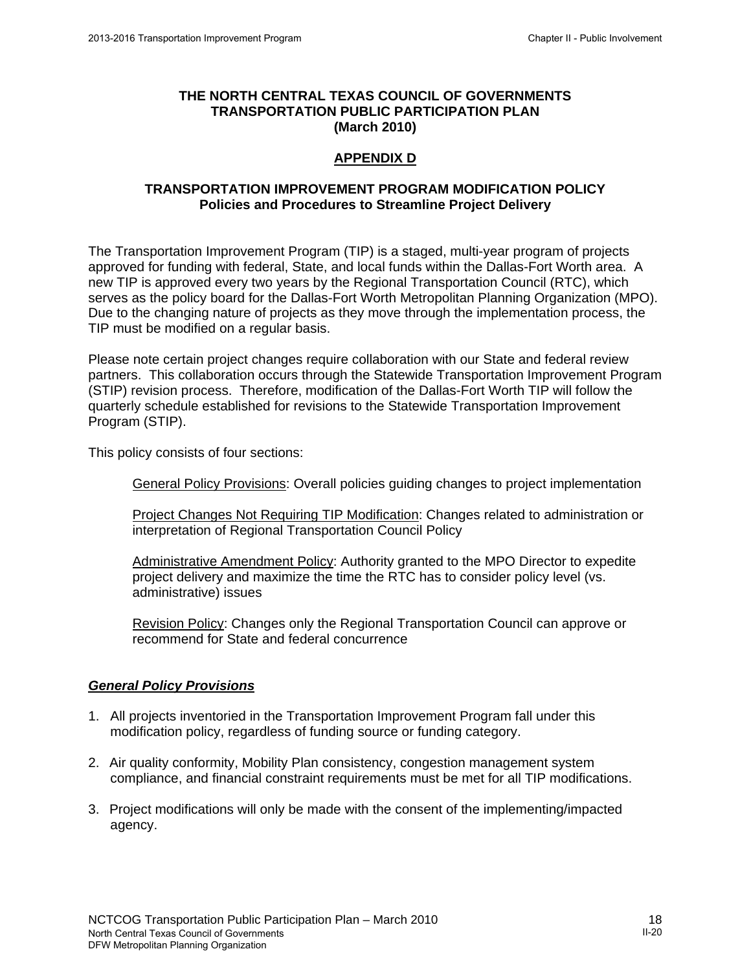## **APPENDIX D**

## **TRANSPORTATION IMPROVEMENT PROGRAM MODIFICATION POLICY Policies and Procedures to Streamline Project Delivery**

The Transportation Improvement Program (TIP) is a staged, multi-year program of projects approved for funding with federal, State, and local funds within the Dallas-Fort Worth area. A new TIP is approved every two years by the Regional Transportation Council (RTC), which serves as the policy board for the Dallas-Fort Worth Metropolitan Planning Organization (MPO). Due to the changing nature of projects as they move through the implementation process, the TIP must be modified on a regular basis.

Please note certain project changes require collaboration with our State and federal review partners. This collaboration occurs through the Statewide Transportation Improvement Program (STIP) revision process. Therefore, modification of the Dallas-Fort Worth TIP will follow the quarterly schedule established for revisions to the Statewide Transportation Improvement Program (STIP).

This policy consists of four sections:

General Policy Provisions: Overall policies guiding changes to project implementation

Project Changes Not Requiring TIP Modification: Changes related to administration or interpretation of Regional Transportation Council Policy

Administrative Amendment Policy: Authority granted to the MPO Director to expedite project delivery and maximize the time the RTC has to consider policy level (vs. administrative) issues

Revision Policy: Changes only the Regional Transportation Council can approve or recommend for State and federal concurrence

## *General Policy Provisions*

- 1. All projects inventoried in the Transportation Improvement Program fall under this modification policy, regardless of funding source or funding category.
- 2. Air quality conformity, Mobility Plan consistency, congestion management system compliance, and financial constraint requirements must be met for all TIP modifications.
- 3. Project modifications will only be made with the consent of the implementing/impacted agency.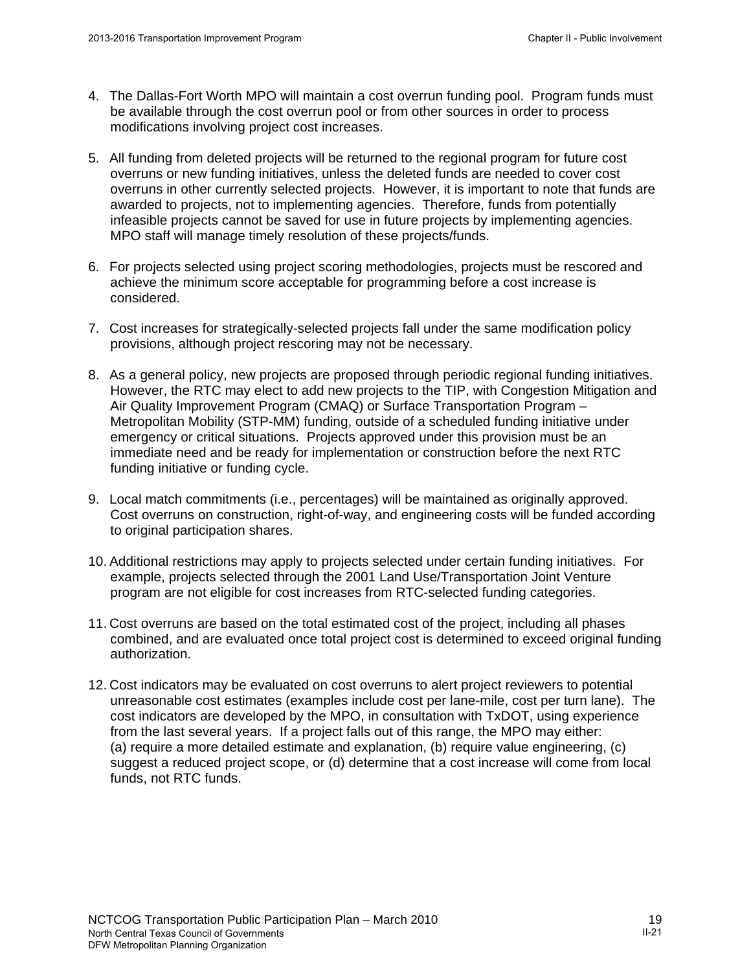- 4. The Dallas-Fort Worth MPO will maintain a cost overrun funding pool. Program funds must be available through the cost overrun pool or from other sources in order to process modifications involving project cost increases.
- 5. All funding from deleted projects will be returned to the regional program for future cost overruns or new funding initiatives, unless the deleted funds are needed to cover cost overruns in other currently selected projects. However, it is important to note that funds are awarded to projects, not to implementing agencies. Therefore, funds from potentially infeasible projects cannot be saved for use in future projects by implementing agencies. MPO staff will manage timely resolution of these projects/funds.
- 6. For projects selected using project scoring methodologies, projects must be rescored and achieve the minimum score acceptable for programming before a cost increase is considered.
- 7. Cost increases for strategically-selected projects fall under the same modification policy provisions, although project rescoring may not be necessary.
- 8. As a general policy, new projects are proposed through periodic regional funding initiatives. However, the RTC may elect to add new projects to the TIP, with Congestion Mitigation and Air Quality Improvement Program (CMAQ) or Surface Transportation Program – Metropolitan Mobility (STP-MM) funding, outside of a scheduled funding initiative under emergency or critical situations. Projects approved under this provision must be an immediate need and be ready for implementation or construction before the next RTC funding initiative or funding cycle.
- 9. Local match commitments (i.e., percentages) will be maintained as originally approved. Cost overruns on construction, right-of-way, and engineering costs will be funded according to original participation shares.
- 10. Additional restrictions may apply to projects selected under certain funding initiatives. For example, projects selected through the 2001 Land Use/Transportation Joint Venture program are not eligible for cost increases from RTC-selected funding categories.
- 11. Cost overruns are based on the total estimated cost of the project, including all phases combined, and are evaluated once total project cost is determined to exceed original funding authorization.
- 12. Cost indicators may be evaluated on cost overruns to alert project reviewers to potential unreasonable cost estimates (examples include cost per lane-mile, cost per turn lane). The cost indicators are developed by the MPO, in consultation with TxDOT, using experience from the last several years. If a project falls out of this range, the MPO may either: (a) require a more detailed estimate and explanation, (b) require value engineering, (c) suggest a reduced project scope, or (d) determine that a cost increase will come from local funds, not RTC funds.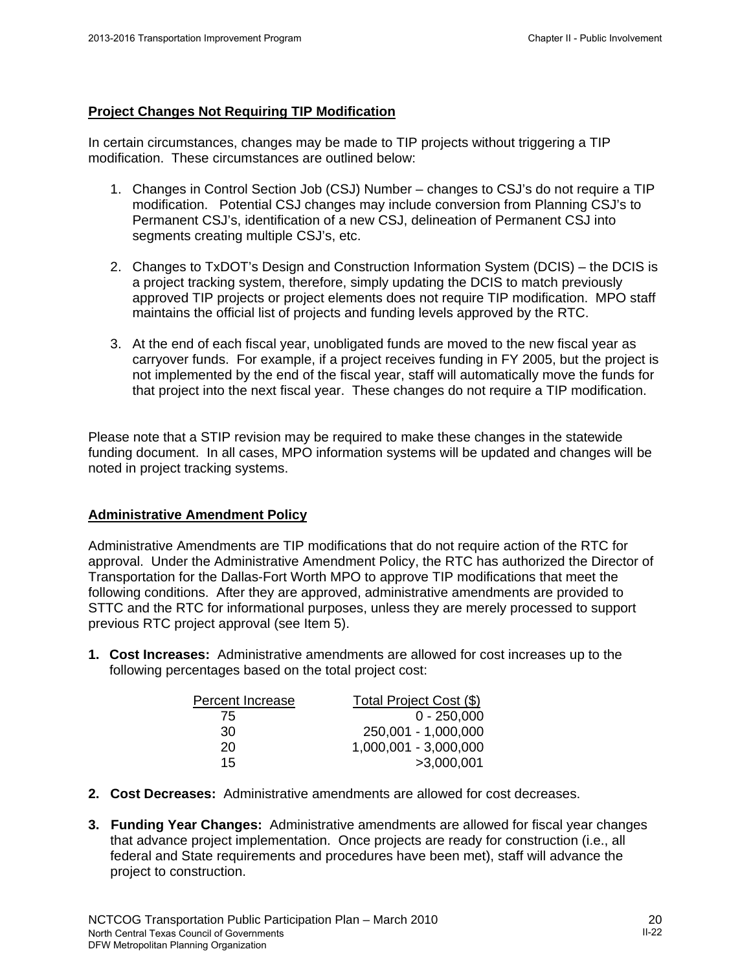#### **Project Changes Not Requiring TIP Modification**

In certain circumstances, changes may be made to TIP projects without triggering a TIP modification. These circumstances are outlined below:

- 1. Changes in Control Section Job (CSJ) Number changes to CSJ's do not require a TIP modification. Potential CSJ changes may include conversion from Planning CSJ's to Permanent CSJ's, identification of a new CSJ, delineation of Permanent CSJ into segments creating multiple CSJ's, etc.
- 2. Changes to TxDOT's Design and Construction Information System (DCIS) the DCIS is a project tracking system, therefore, simply updating the DCIS to match previously approved TIP projects or project elements does not require TIP modification. MPO staff maintains the official list of projects and funding levels approved by the RTC.
- 3. At the end of each fiscal year, unobligated funds are moved to the new fiscal year as carryover funds. For example, if a project receives funding in FY 2005, but the project is not implemented by the end of the fiscal year, staff will automatically move the funds for that project into the next fiscal year. These changes do not require a TIP modification.

Please note that a STIP revision may be required to make these changes in the statewide funding document. In all cases, MPO information systems will be updated and changes will be noted in project tracking systems.

## **Administrative Amendment Policy**

Administrative Amendments are TIP modifications that do not require action of the RTC for approval. Under the Administrative Amendment Policy, the RTC has authorized the Director of Transportation for the Dallas-Fort Worth MPO to approve TIP modifications that meet the following conditions. After they are approved, administrative amendments are provided to STTC and the RTC for informational purposes, unless they are merely processed to support previous RTC project approval (see Item 5).

**1. Cost Increases:** Administrative amendments are allowed for cost increases up to the following percentages based on the total project cost:

| Percent Increase | Total Project Cost (\$) |
|------------------|-------------------------|
| 75               | $0 - 250,000$           |
| 30               | 250,001 - 1,000,000     |
| 20               | 1,000,001 - 3,000,000   |
| 15               | >3,000,001              |

- **2. Cost Decreases:** Administrative amendments are allowed for cost decreases.
- **3. Funding Year Changes:** Administrative amendments are allowed for fiscal year changes that advance project implementation. Once projects are ready for construction (i.e., all federal and State requirements and procedures have been met), staff will advance the project to construction.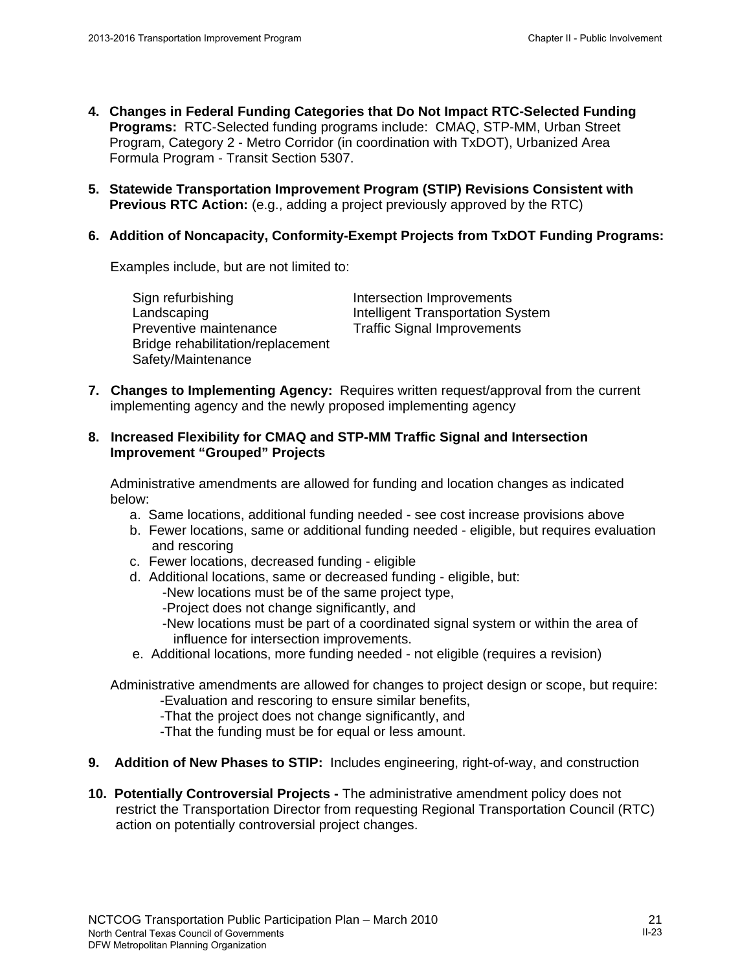- **4. Changes in Federal Funding Categories that Do Not Impact RTC-Selected Funding Programs:** RTC-Selected funding programs include: CMAQ, STP-MM, Urban Street Program, Category 2 - Metro Corridor (in coordination with TxDOT), Urbanized Area Formula Program - Transit Section 5307.
- **5. Statewide Transportation Improvement Program (STIP) Revisions Consistent with Previous RTC Action:** (e.g., adding a project previously approved by the RTC)

## **6. Addition of Noncapacity, Conformity-Exempt Projects from TxDOT Funding Programs:**

Examples include, but are not limited to:

Sign refurbishing The Intersection Improvements Landscaping **Intelligent Transportation System** Preventive maintenance Traffic Signal Improvements Bridge rehabilitation/replacement Safety/Maintenance

**7. Changes to Implementing Agency:** Requires written request/approval from the current implementing agency and the newly proposed implementing agency

#### **8. Increased Flexibility for CMAQ and STP-MM Traffic Signal and Intersection Improvement "Grouped" Projects**

Administrative amendments are allowed for funding and location changes as indicated below:

- a. Same locations, additional funding needed see cost increase provisions above
- b. Fewer locations, same or additional funding needed eligible, but requires evaluation and rescoring
- c. Fewer locations, decreased funding eligible
- d. Additional locations, same or decreased funding eligible, but:
	- -New locations must be of the same project type,
	- -Project does not change significantly, and
	- -New locations must be part of a coordinated signal system or within the area of influence for intersection improvements.
- e. Additional locations, more funding needed not eligible (requires a revision)

Administrative amendments are allowed for changes to project design or scope, but require:

- -Evaluation and rescoring to ensure similar benefits,
- -That the project does not change significantly, and
- -That the funding must be for equal or less amount.
- **9. Addition of New Phases to STIP:** Includes engineering, right-of-way, and construction
- **10. Potentially Controversial Projects** The administrative amendment policy does not restrict the Transportation Director from requesting Regional Transportation Council (RTC) action on potentially controversial project changes.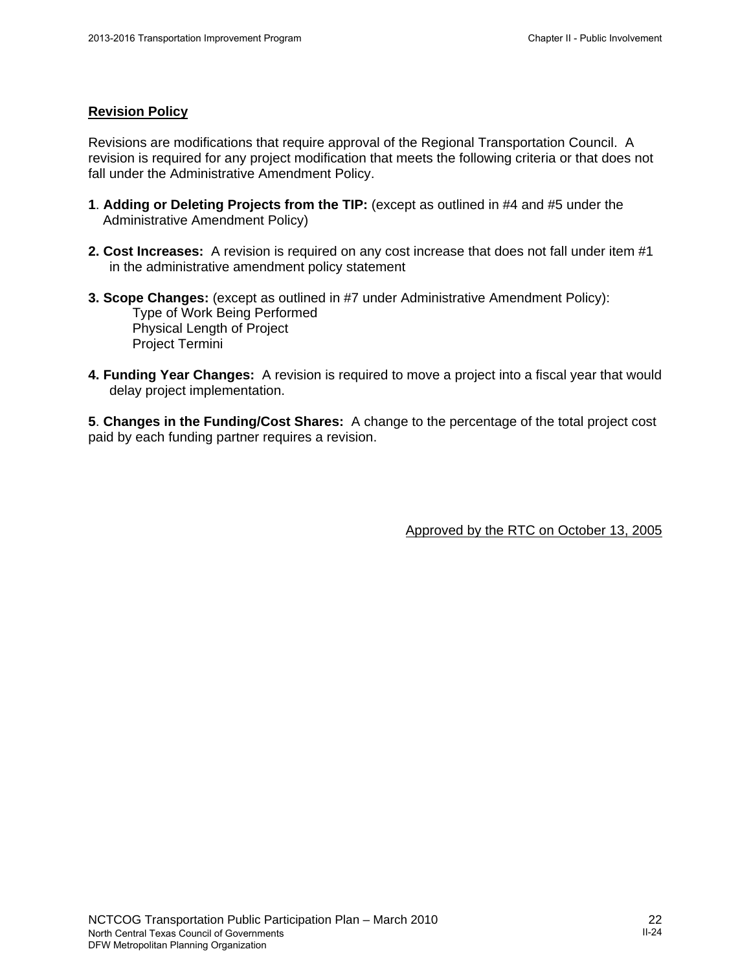#### **Revision Policy**

Revisions are modifications that require approval of the Regional Transportation Council. A revision is required for any project modification that meets the following criteria or that does not fall under the Administrative Amendment Policy.

- **1**. **Adding or Deleting Projects from the TIP:** (except as outlined in #4 and #5 under the Administrative Amendment Policy)
- **2. Cost Increases:** A revision is required on any cost increase that does not fall under item #1 in the administrative amendment policy statement
- **3. Scope Changes:** (except as outlined in #7 under Administrative Amendment Policy): Type of Work Being Performed Physical Length of Project Project Termini
- **4. Funding Year Changes:** A revision is required to move a project into a fiscal year that would delay project implementation.

**5**. **Changes in the Funding/Cost Shares:** A change to the percentage of the total project cost paid by each funding partner requires a revision.

Approved by the RTC on October 13, 2005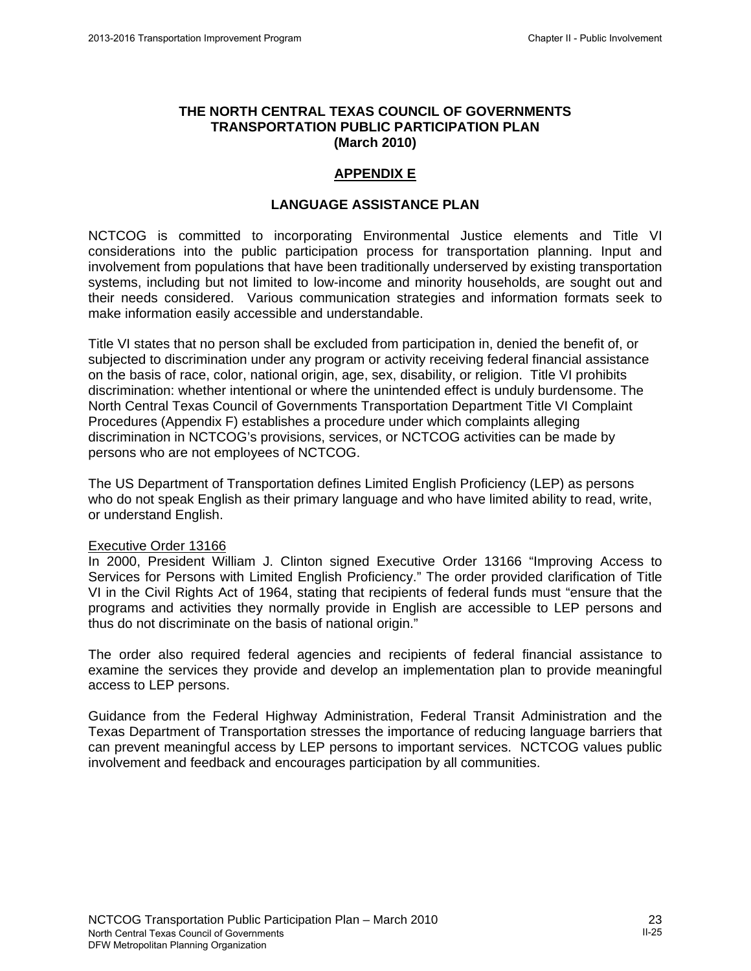## **APPENDIX E**

## **LANGUAGE ASSISTANCE PLAN**

NCTCOG is committed to incorporating Environmental Justice elements and Title VI considerations into the public participation process for transportation planning. Input and involvement from populations that have been traditionally underserved by existing transportation systems, including but not limited to low-income and minority households, are sought out and their needs considered. Various communication strategies and information formats seek to make information easily accessible and understandable.

Title VI states that no person shall be excluded from participation in, denied the benefit of, or subjected to discrimination under any program or activity receiving federal financial assistance on the basis of race, color, national origin, age, sex, disability, or religion. Title VI prohibits discrimination: whether intentional or where the unintended effect is unduly burdensome. The North Central Texas Council of Governments Transportation Department Title VI Complaint Procedures (Appendix F) establishes a procedure under which complaints alleging discrimination in NCTCOG's provisions, services, or NCTCOG activities can be made by persons who are not employees of NCTCOG.

The US Department of Transportation defines Limited English Proficiency (LEP) as persons who do not speak English as their primary language and who have limited ability to read, write, or understand English.

#### Executive Order 13166

In 2000, President William J. Clinton signed Executive Order 13166 "Improving Access to Services for Persons with Limited English Proficiency." The order provided clarification of Title VI in the Civil Rights Act of 1964, stating that recipients of federal funds must "ensure that the programs and activities they normally provide in English are accessible to LEP persons and thus do not discriminate on the basis of national origin."

The order also required federal agencies and recipients of federal financial assistance to examine the services they provide and develop an implementation plan to provide meaningful access to LEP persons.

Guidance from the Federal Highway Administration, Federal Transit Administration and the Texas Department of Transportation stresses the importance of reducing language barriers that can prevent meaningful access by LEP persons to important services. NCTCOG values public involvement and feedback and encourages participation by all communities.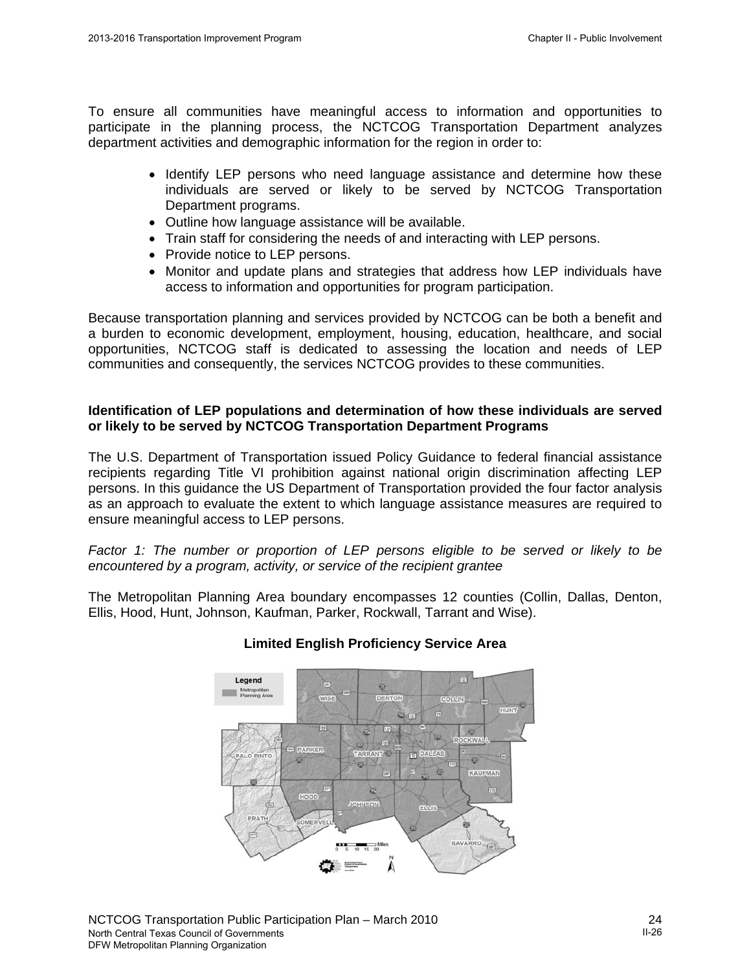To ensure all communities have meaningful access to information and opportunities to participate in the planning process, the NCTCOG Transportation Department analyzes department activities and demographic information for the region in order to:

- Identify LEP persons who need language assistance and determine how these individuals are served or likely to be served by NCTCOG Transportation Department programs.
- Outline how language assistance will be available.
- Train staff for considering the needs of and interacting with LEP persons.
- Provide notice to LEP persons.
- Monitor and update plans and strategies that address how LEP individuals have access to information and opportunities for program participation.

Because transportation planning and services provided by NCTCOG can be both a benefit and a burden to economic development, employment, housing, education, healthcare, and social opportunities, NCTCOG staff is dedicated to assessing the location and needs of LEP communities and consequently, the services NCTCOG provides to these communities.

#### **Identification of LEP populations and determination of how these individuals are served or likely to be served by NCTCOG Transportation Department Programs**

The U.S. Department of Transportation issued Policy Guidance to federal financial assistance recipients regarding Title VI prohibition against national origin discrimination affecting LEP persons. In this guidance the US Department of Transportation provided the four factor analysis as an approach to evaluate the extent to which language assistance measures are required to ensure meaningful access to LEP persons.

*Factor 1: The number or proportion of LEP persons eligible to be served or likely to be encountered by a program, activity, or service of the recipient grantee* 

The Metropolitan Planning Area boundary encompasses 12 counties (Collin, Dallas, Denton, Ellis, Hood, Hunt, Johnson, Kaufman, Parker, Rockwall, Tarrant and Wise).



## **Limited English Proficiency Service Area**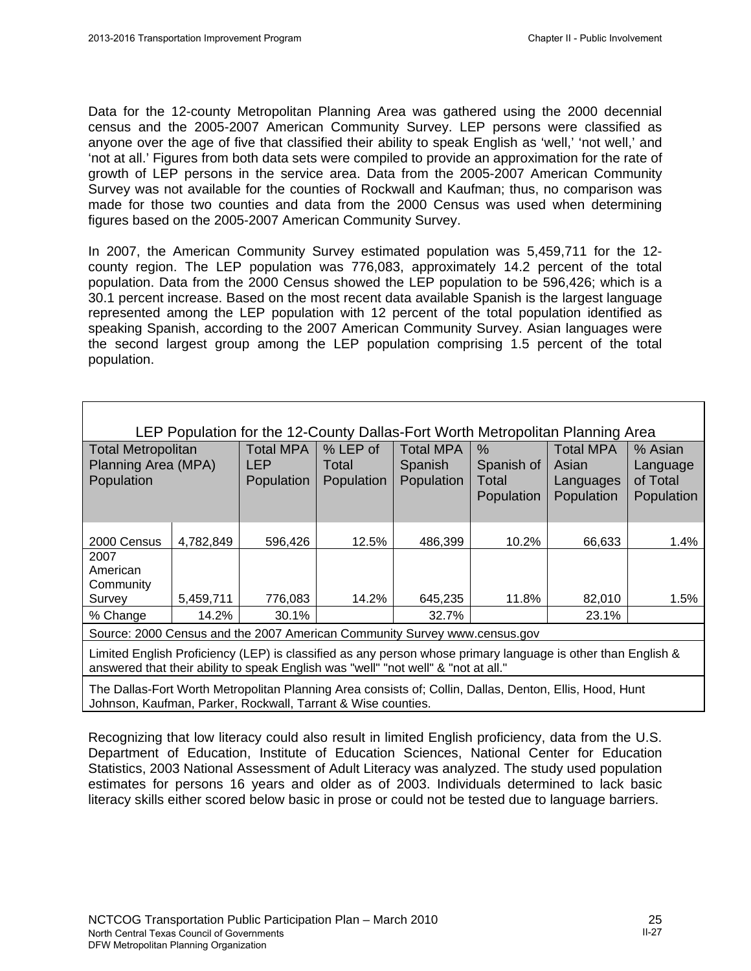Data for the 12-county Metropolitan Planning Area was gathered using the 2000 decennial census and the 2005-2007 American Community Survey. LEP persons were classified as anyone over the age of five that classified their ability to speak English as 'well,' 'not well,' and 'not at all.' Figures from both data sets were compiled to provide an approximation for the rate of growth of LEP persons in the service area. Data from the 2005-2007 American Community Survey was not available for the counties of Rockwall and Kaufman; thus, no comparison was made for those two counties and data from the 2000 Census was used when determining figures based on the 2005-2007 American Community Survey.

In 2007, the American Community Survey estimated population was 5,459,711 for the 12 county region. The LEP population was 776,083, approximately 14.2 percent of the total population. Data from the 2000 Census showed the LEP population to be 596,426; which is a 30.1 percent increase. Based on the most recent data available Spanish is the largest language represented among the LEP population with 12 percent of the total population identified as speaking Spanish, according to the 2007 American Community Survey. Asian languages were the second largest group among the LEP population comprising 1.5 percent of the total population.

| 1.4%                                                                                                         |  |  |  |  |  |  |
|--------------------------------------------------------------------------------------------------------------|--|--|--|--|--|--|
| 1.5%                                                                                                         |  |  |  |  |  |  |
|                                                                                                              |  |  |  |  |  |  |
| Source: 2000 Census and the 2007 American Community Survey www.census.gov                                    |  |  |  |  |  |  |
| Limited English Proficiency (LEP) is classified as any person whose primary language is other than English & |  |  |  |  |  |  |

 The Dallas-Fort Worth Metropolitan Planning Area consists of; Collin, Dallas, Denton, Ellis, Hood, Hunt Johnson, Kaufman, Parker, Rockwall, Tarrant & Wise counties.

Recognizing that low literacy could also result in limited English proficiency, data from the U.S. Department of Education, Institute of Education Sciences, National Center for Education Statistics, 2003 National Assessment of Adult Literacy was analyzed. The study used population estimates for persons 16 years and older as of 2003. Individuals determined to lack basic literacy skills either scored below basic in prose or could not be tested due to language barriers.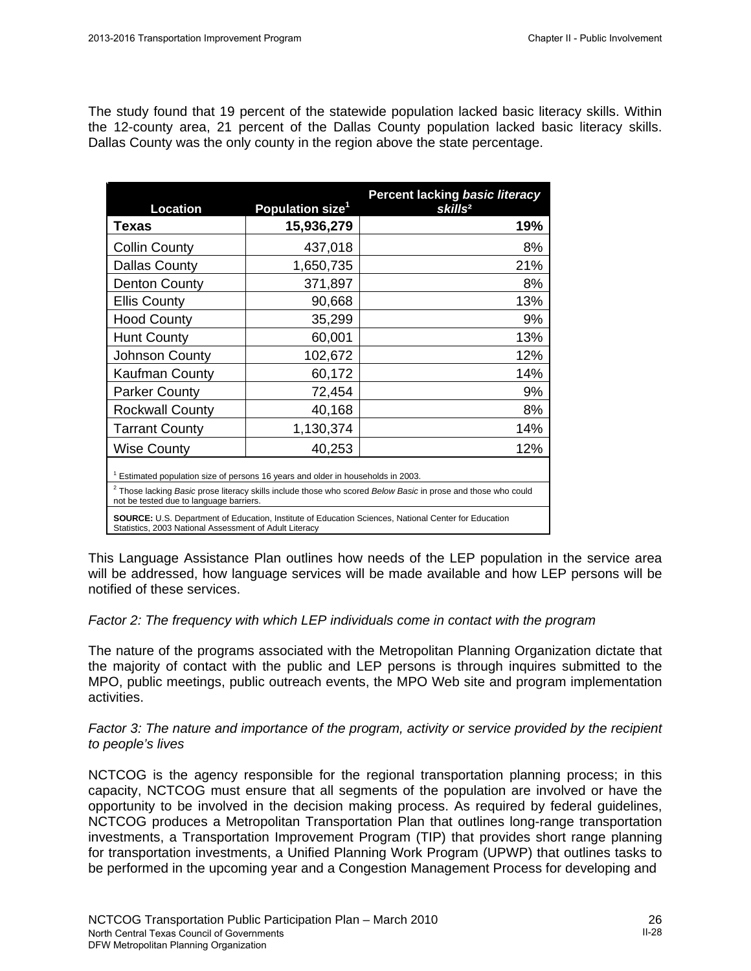The study found that 19 percent of the statewide population lacked basic literacy skills. Within the 12-county area, 21 percent of the Dallas County population lacked basic literacy skills. Dallas County was the only county in the region above the state percentage.

| 15,936,279<br>437,018<br>1,650,735<br>371,897<br>90,668<br>35,299<br>60,001<br>102,672                                                                                                                                                                             | 19%<br>8%<br>21%<br>8%<br>13%<br>9%<br>13%<br>12% |  |  |  |  |
|--------------------------------------------------------------------------------------------------------------------------------------------------------------------------------------------------------------------------------------------------------------------|---------------------------------------------------|--|--|--|--|
|                                                                                                                                                                                                                                                                    |                                                   |  |  |  |  |
|                                                                                                                                                                                                                                                                    |                                                   |  |  |  |  |
|                                                                                                                                                                                                                                                                    |                                                   |  |  |  |  |
|                                                                                                                                                                                                                                                                    |                                                   |  |  |  |  |
|                                                                                                                                                                                                                                                                    |                                                   |  |  |  |  |
|                                                                                                                                                                                                                                                                    |                                                   |  |  |  |  |
|                                                                                                                                                                                                                                                                    |                                                   |  |  |  |  |
|                                                                                                                                                                                                                                                                    |                                                   |  |  |  |  |
| 60,172                                                                                                                                                                                                                                                             | 14%                                               |  |  |  |  |
| 72,454                                                                                                                                                                                                                                                             | 9%                                                |  |  |  |  |
| 40,168                                                                                                                                                                                                                                                             | 8%                                                |  |  |  |  |
| 1,130,374                                                                                                                                                                                                                                                          | 14%                                               |  |  |  |  |
| 40,253                                                                                                                                                                                                                                                             | 12%                                               |  |  |  |  |
| <sup>1</sup> Estimated population size of persons 16 years and older in households in 2003.<br><sup>2</sup> Those lacking Basic prose literacy skills include those who scored Below Basic in prose and those who could<br>not be tested due to language barriers. |                                                   |  |  |  |  |
|                                                                                                                                                                                                                                                                    |                                                   |  |  |  |  |

This Language Assistance Plan outlines how needs of the LEP population in the service area will be addressed, how language services will be made available and how LEP persons will be notified of these services.

## *Factor 2: The frequency with which LEP individuals come in contact with the program*

The nature of the programs associated with the Metropolitan Planning Organization dictate that the majority of contact with the public and LEP persons is through inquires submitted to the MPO, public meetings, public outreach events, the MPO Web site and program implementation activities.

*Factor 3: The nature and importance of the program, activity or service provided by the recipient to people's lives* 

NCTCOG is the agency responsible for the regional transportation planning process; in this capacity, NCTCOG must ensure that all segments of the population are involved or have the opportunity to be involved in the decision making process. As required by federal guidelines, NCTCOG produces a Metropolitan Transportation Plan that outlines long-range transportation investments, a Transportation Improvement Program (TIP) that provides short range planning for transportation investments, a Unified Planning Work Program (UPWP) that outlines tasks to be performed in the upcoming year and a Congestion Management Process for developing and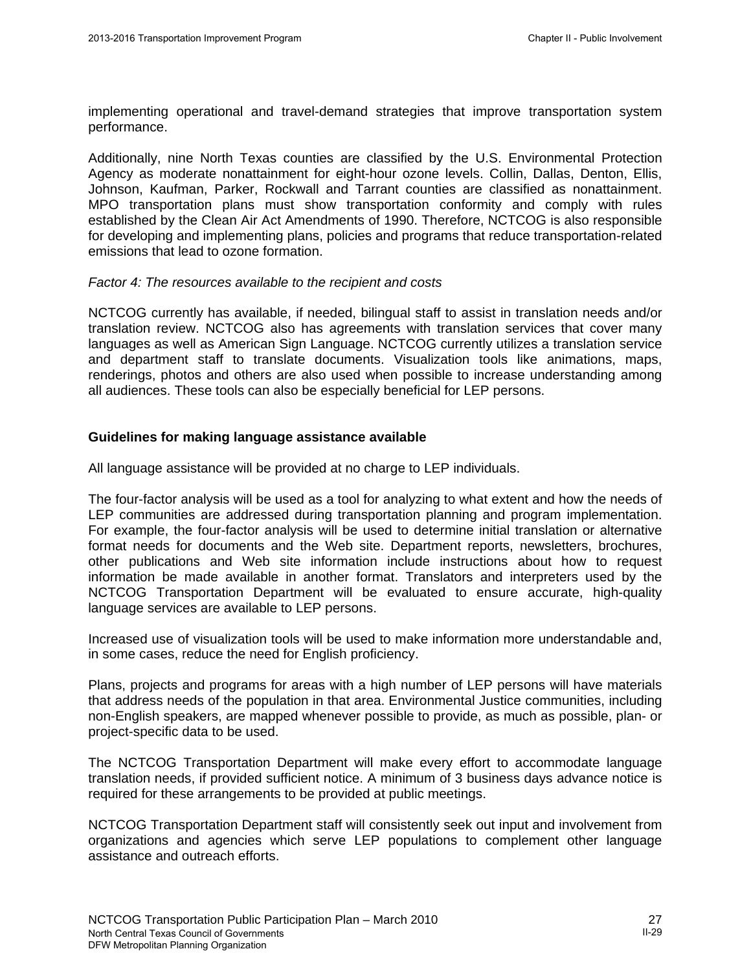implementing operational and travel-demand strategies that improve transportation system performance.

Additionally, nine North Texas counties are classified by the U.S. Environmental Protection Agency as moderate nonattainment for eight-hour ozone levels. Collin, Dallas, Denton, Ellis, Johnson, Kaufman, Parker, Rockwall and Tarrant counties are classified as nonattainment. MPO transportation plans must show transportation conformity and comply with rules established by the Clean Air Act Amendments of 1990. Therefore, NCTCOG is also responsible for developing and implementing plans, policies and programs that reduce transportation-related emissions that lead to ozone formation.

#### *Factor 4: The resources available to the recipient and costs*

NCTCOG currently has available, if needed, bilingual staff to assist in translation needs and/or translation review. NCTCOG also has agreements with translation services that cover many languages as well as American Sign Language. NCTCOG currently utilizes a translation service and department staff to translate documents. Visualization tools like animations, maps, renderings, photos and others are also used when possible to increase understanding among all audiences. These tools can also be especially beneficial for LEP persons.

## **Guidelines for making language assistance available**

All language assistance will be provided at no charge to LEP individuals.

The four-factor analysis will be used as a tool for analyzing to what extent and how the needs of LEP communities are addressed during transportation planning and program implementation. For example, the four-factor analysis will be used to determine initial translation or alternative format needs for documents and the Web site. Department reports, newsletters, brochures, other publications and Web site information include instructions about how to request information be made available in another format. Translators and interpreters used by the NCTCOG Transportation Department will be evaluated to ensure accurate, high-quality language services are available to LEP persons.

Increased use of visualization tools will be used to make information more understandable and, in some cases, reduce the need for English proficiency.

Plans, projects and programs for areas with a high number of LEP persons will have materials that address needs of the population in that area. Environmental Justice communities, including non-English speakers, are mapped whenever possible to provide, as much as possible, plan- or project-specific data to be used.

The NCTCOG Transportation Department will make every effort to accommodate language translation needs, if provided sufficient notice. A minimum of 3 business days advance notice is required for these arrangements to be provided at public meetings.

NCTCOG Transportation Department staff will consistently seek out input and involvement from organizations and agencies which serve LEP populations to complement other language assistance and outreach efforts.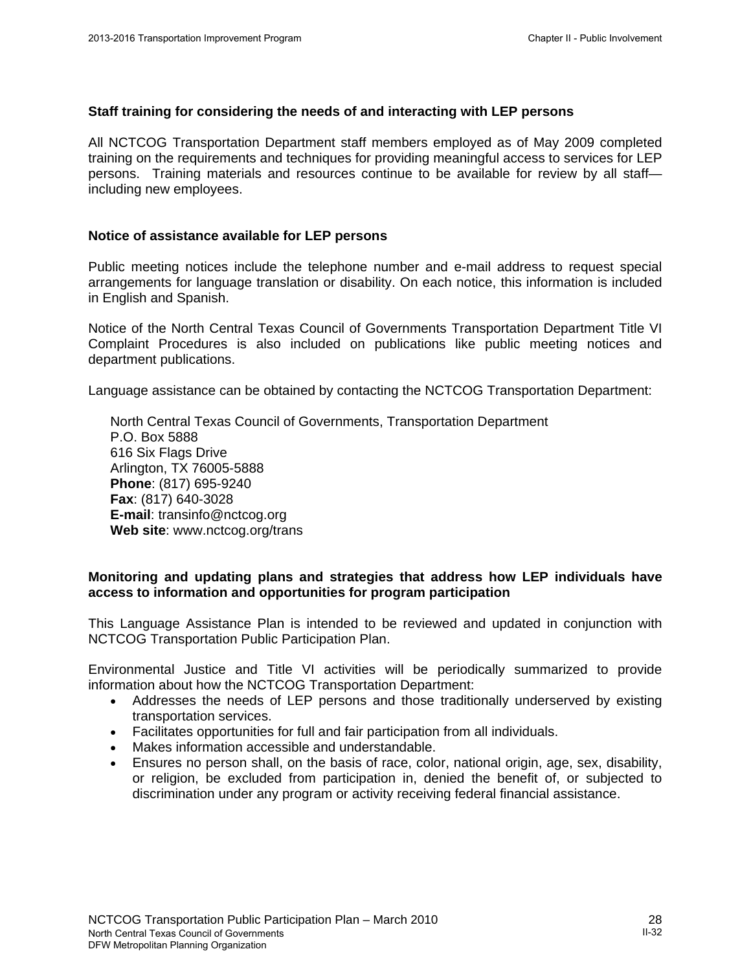#### **Staff training for considering the needs of and interacting with LEP persons**

All NCTCOG Transportation Department staff members employed as of May 2009 completed training on the requirements and techniques for providing meaningful access to services for LEP persons. Training materials and resources continue to be available for review by all staff including new employees.

#### **Notice of assistance available for LEP persons**

Public meeting notices include the telephone number and e-mail address to request special arrangements for language translation or disability. On each notice, this information is included in English and Spanish.

Notice of the North Central Texas Council of Governments Transportation Department Title VI Complaint Procedures is also included on publications like public meeting notices and department publications.

Language assistance can be obtained by contacting the NCTCOG Transportation Department:

North Central Texas Council of Governments, Transportation Department P.O. Box 5888 616 Six Flags Drive Arlington, TX 76005-5888 **Phone**: (817) 695-9240 **Fax**: (817) 640-3028 **E-mail**: transinfo@nctcog.org **Web site**: www.nctcog.org/trans

#### **Monitoring and updating plans and strategies that address how LEP individuals have access to information and opportunities for program participation**

This Language Assistance Plan is intended to be reviewed and updated in conjunction with NCTCOG Transportation Public Participation Plan.

Environmental Justice and Title VI activities will be periodically summarized to provide information about how the NCTCOG Transportation Department:

- Addresses the needs of LEP persons and those traditionally underserved by existing transportation services.
- Facilitates opportunities for full and fair participation from all individuals.
- Makes information accessible and understandable.
- Ensures no person shall, on the basis of race, color, national origin, age, sex, disability, or religion, be excluded from participation in, denied the benefit of, or subjected to discrimination under any program or activity receiving federal financial assistance.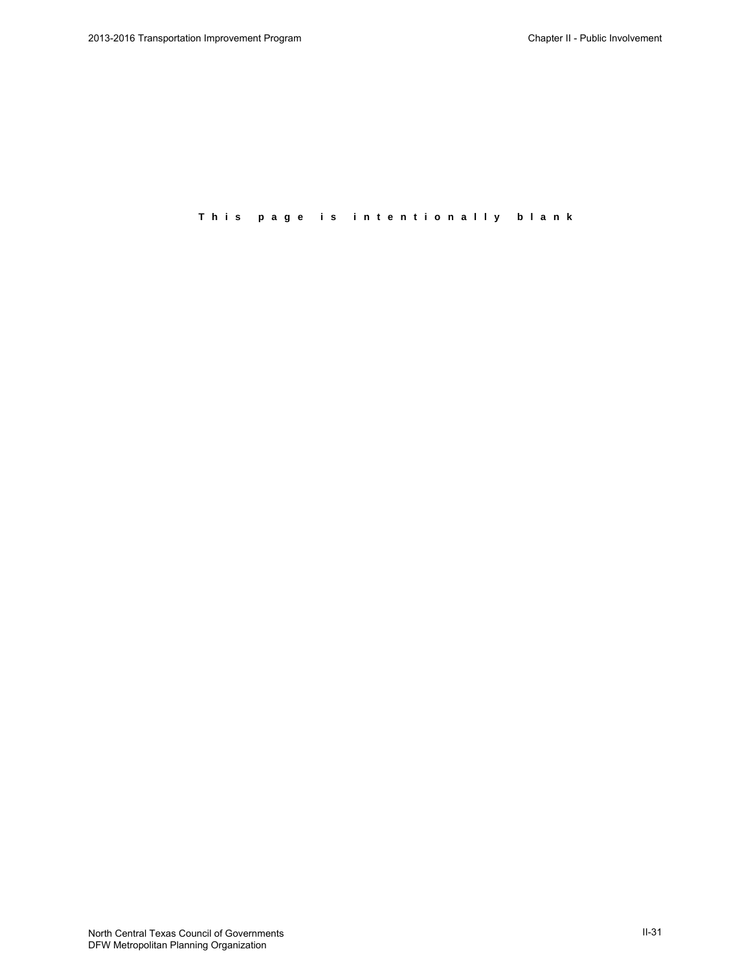## **This page is intentionally blank**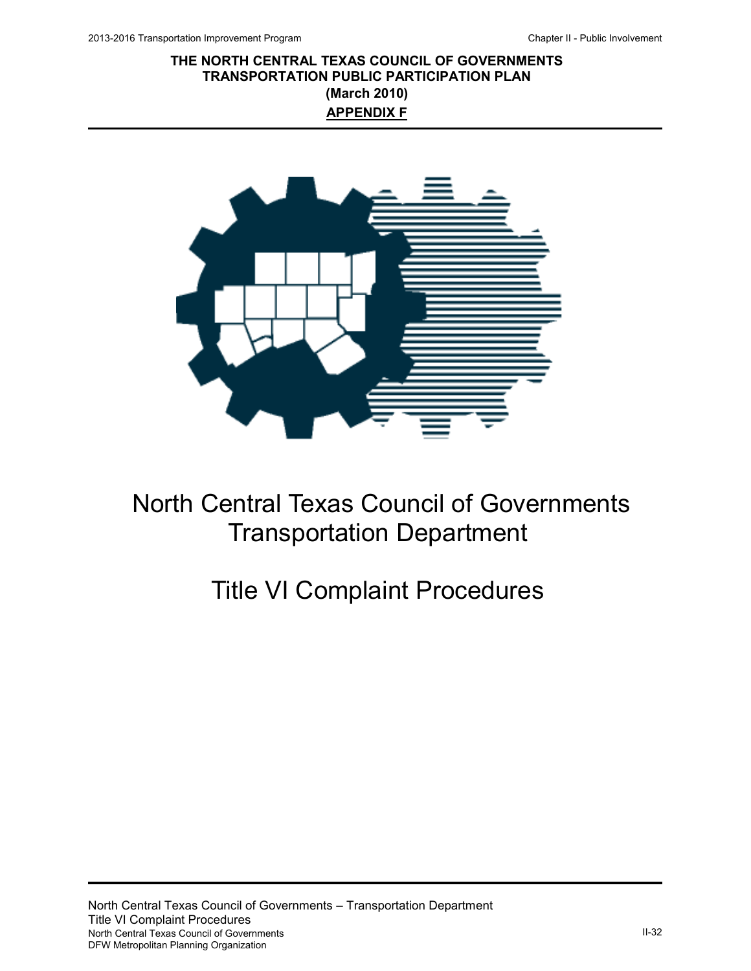

# North Central Texas Council of Governments Transportation Department

# Title VI Complaint Procedures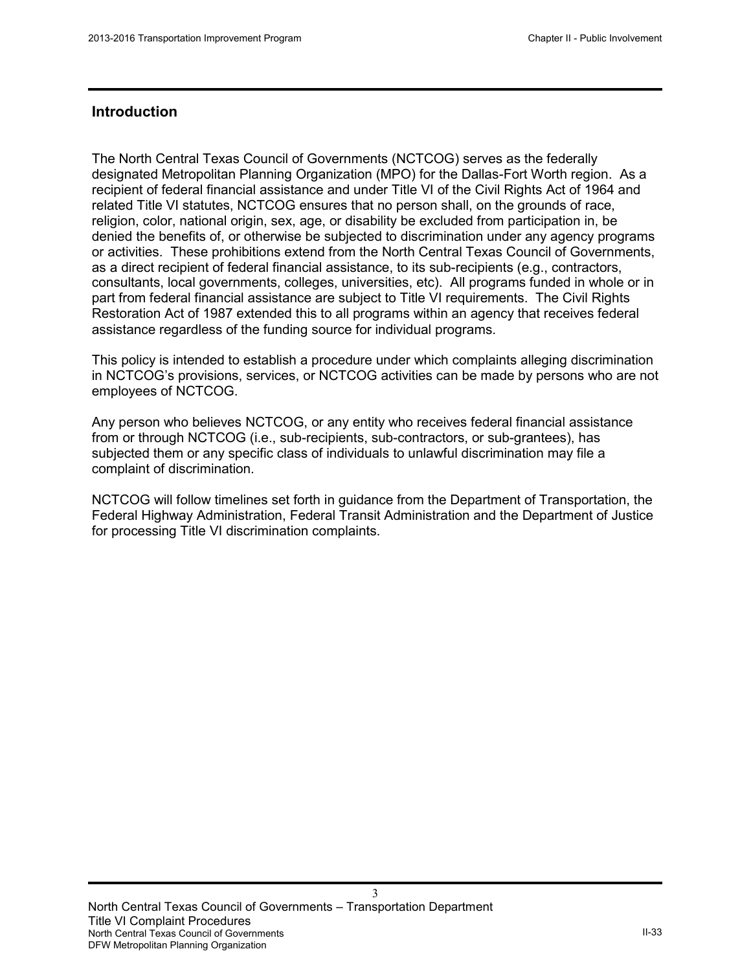## **Introduction**

The North Central Texas Council of Governments (NCTCOG) serves as the federally designated Metropolitan Planning Organization (MPO) for the Dallas-Fort Worth region. As a recipient of federal financial assistance and under Title VI of the Civil Rights Act of 1964 and related Title VI statutes, NCTCOG ensures that no person shall, on the grounds of race, religion, color, national origin, sex, age, or disability be excluded from participation in, be denied the benefits of, or otherwise be subjected to discrimination under any agency programs or activities. These prohibitions extend from the North Central Texas Council of Governments, as a direct recipient of federal financial assistance, to its sub-recipients (e.g., contractors, consultants, local governments, colleges, universities, etc). All programs funded in whole or in part from federal financial assistance are subject to Title VI requirements. The Civil Rights Restoration Act of 1987 extended this to all programs within an agency that receives federal assistance regardless of the funding source for individual programs.

This policy is intended to establish a procedure under which complaints alleging discrimination in NCTCOG's provisions, services, or NCTCOG activities can be made by persons who are not employees of NCTCOG.

Any person who believes NCTCOG, or any entity who receives federal financial assistance from or through NCTCOG (i.e., sub-recipients, sub-contractors, or sub-grantees), has subjected them or any specific class of individuals to unlawful discrimination may file a complaint of discrimination.

NCTCOG will follow timelines set forth in guidance from the Department of Transportation, the Federal Highway Administration, Federal Transit Administration and the Department of Justice for processing Title VI discrimination complaints.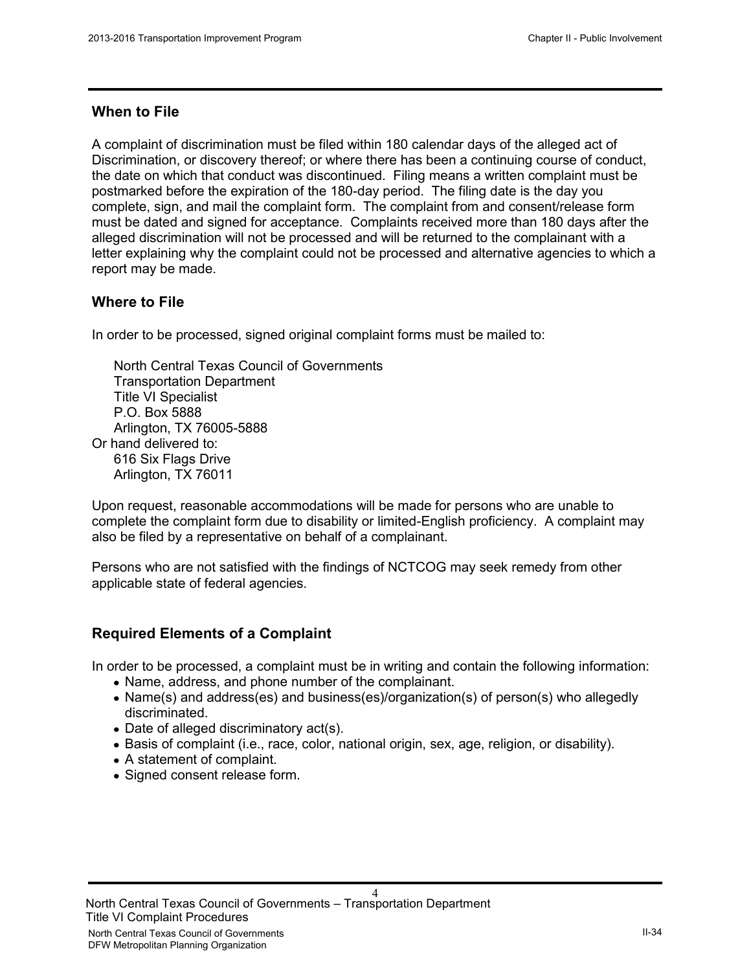## **When to File**

A complaint of discrimination must be filed within 180 calendar days of the alleged act of Discrimination, or discovery thereof; or where there has been a continuing course of conduct, the date on which that conduct was discontinued. Filing means a written complaint must be postmarked before the expiration of the 180-day period. The filing date is the day you complete, sign, and mail the complaint form. The complaint from and consent/release form must be dated and signed for acceptance. Complaints received more than 180 days after the alleged discrimination will not be processed and will be returned to the complainant with a letter explaining why the complaint could not be processed and alternative agencies to which a report may be made.

## **Where to File**

In order to be processed, signed original complaint forms must be mailed to:

North Central Texas Council of Governments Transportation Department Title VI Specialist P.O. Box 5888 Arlington, TX 76005-5888 Or hand delivered to: 616 Six Flags Drive Arlington, TX 76011

Upon request, reasonable accommodations will be made for persons who are unable to complete the complaint form due to disability or limited-English proficiency. A complaint may also be filed by a representative on behalf of a complainant.

Persons who are not satisfied with the findings of NCTCOG may seek remedy from other applicable state of federal agencies.

## **Required Elements of a Complaint**

In order to be processed, a complaint must be in writing and contain the following information:

- Name, address, and phone number of the complainant.
- Name(s) and address(es) and business(es)/organization(s) of person(s) who allegedly discriminated.
- Date of alleged discriminatory act(s).
- Basis of complaint (i.e., race, color, national origin, sex, age, religion, or disability).
- A statement of complaint.
- Signed consent release form.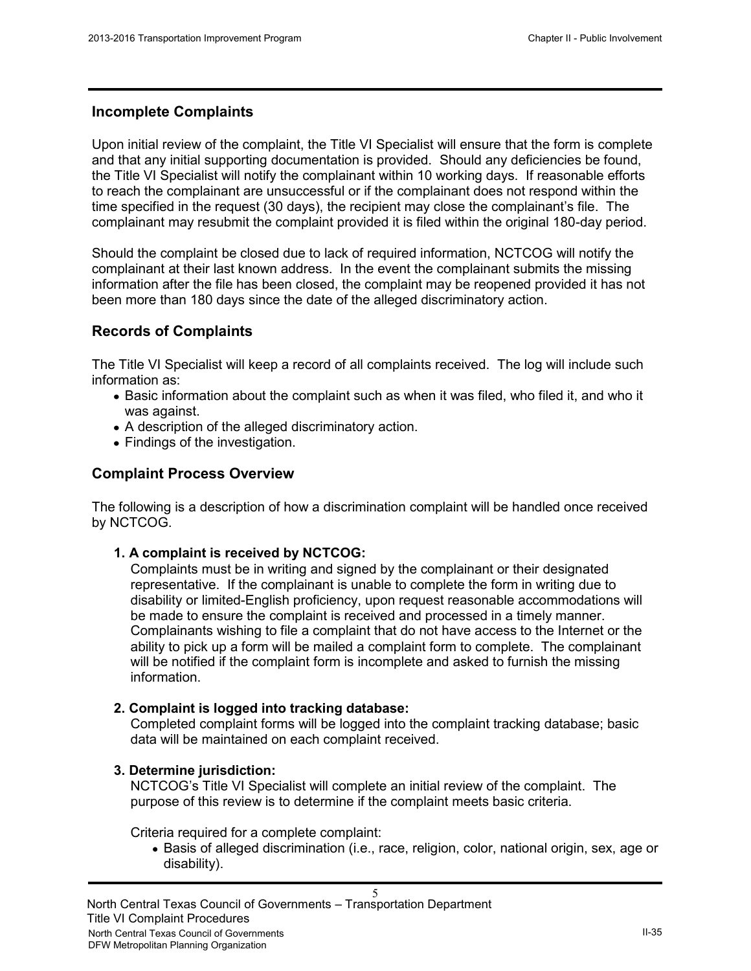## **Incomplete Complaints**

Upon initial review of the complaint, the Title VI Specialist will ensure that the form is complete and that any initial supporting documentation is provided. Should any deficiencies be found, the Title VI Specialist will notify the complainant within 10 working days. If reasonable efforts to reach the complainant are unsuccessful or if the complainant does not respond within the time specified in the request (30 days), the recipient may close the complainant's file. The complainant may resubmit the complaint provided it is filed within the original 180-day period.

Should the complaint be closed due to lack of required information, NCTCOG will notify the complainant at their last known address. In the event the complainant submits the missing information after the file has been closed, the complaint may be reopened provided it has not been more than 180 days since the date of the alleged discriminatory action.

## **Records of Complaints**

The Title VI Specialist will keep a record of all complaints received. The log will include such information as:

- Basic information about the complaint such as when it was filed, who filed it, and who it was against.
- A description of the alleged discriminatory action.
- Findings of the investigation.

## **Complaint Process Overview**

The following is a description of how a discrimination complaint will be handled once received by NCTCOG.

**1. A complaint is received by NCTCOG:**

Complaints must be in writing and signed by the complainant or their designated representative. If the complainant is unable to complete the form in writing due to disability or limited-English proficiency, upon request reasonable accommodations will be made to ensure the complaint is received and processed in a timely manner. Complainants wishing to file a complaint that do not have access to the Internet or the ability to pick up a form will be mailed a complaint form to complete. The complainant will be notified if the complaint form is incomplete and asked to furnish the missing information.

#### **2. Complaint is logged into tracking database:**

Completed complaint forms will be logged into the complaint tracking database; basic data will be maintained on each complaint received.

**3. Determine jurisdiction:** 

NCTCOG's Title VI Specialist will complete an initial review of the complaint. The purpose of this review is to determine if the complaint meets basic criteria.

Criteria required for a complete complaint:

Basis of alleged discrimination (i.e., race, religion, color, national origin, sex, age or disability).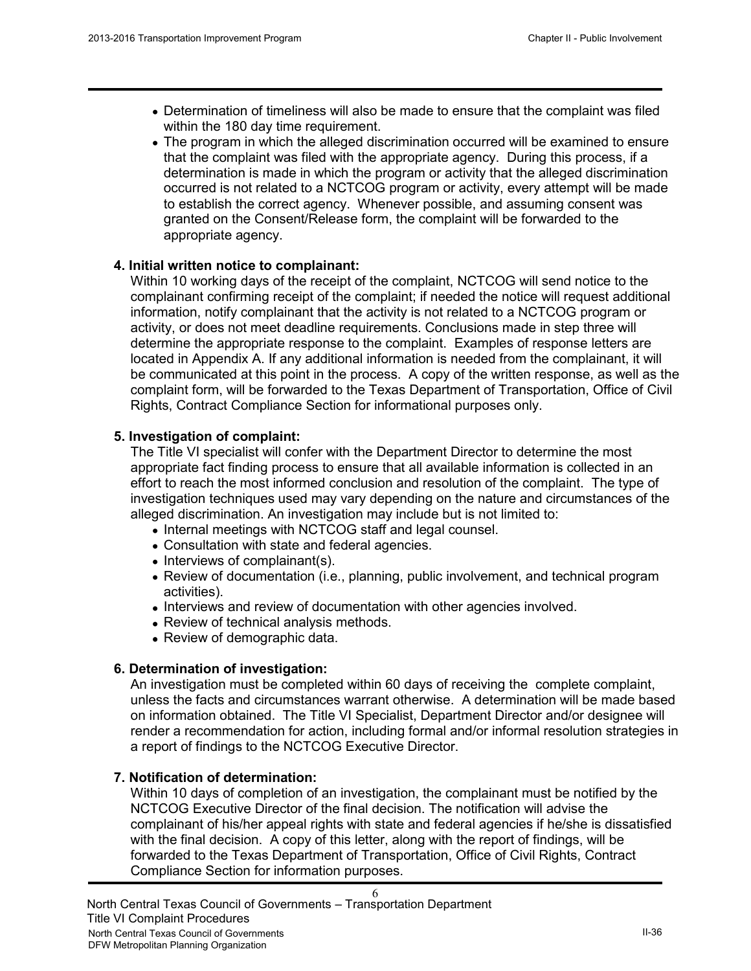- Determination of timeliness will also be made to ensure that the complaint was filed within the 180 day time requirement.
- The program in which the alleged discrimination occurred will be examined to ensure that the complaint was filed with the appropriate agency. During this process, if a determination is made in which the program or activity that the alleged discrimination occurred is not related to a NCTCOG program or activity, every attempt will be made to establish the correct agency. Whenever possible, and assuming consent was granted on the Consent/Release form, the complaint will be forwarded to the appropriate agency.

#### **4. Initial written notice to complainant:**

Within 10 working days of the receipt of the complaint, NCTCOG will send notice to the complainant confirming receipt of the complaint; if needed the notice will request additional information, notify complainant that the activity is not related to a NCTCOG program or activity, or does not meet deadline requirements. Conclusions made in step three will determine the appropriate response to the complaint. Examples of response letters are located in Appendix A. If any additional information is needed from the complainant, it will be communicated at this point in the process. A copy of the written response, as well as the complaint form, will be forwarded to the Texas Department of Transportation, Office of Civil Rights, Contract Compliance Section for informational purposes only.

#### **5. Investigation of complaint:**

The Title VI specialist will confer with the Department Director to determine the most appropriate fact finding process to ensure that all available information is collected in an effort to reach the most informed conclusion and resolution of the complaint. The type of investigation techniques used may vary depending on the nature and circumstances of the alleged discrimination. An investigation may include but is not limited to:

- Internal meetings with NCTCOG staff and legal counsel.
- Consultation with state and federal agencies.
- $\bullet$  Interviews of complainant(s).
- Review of documentation (i.e., planning, public involvement, and technical program activities).
- Interviews and review of documentation with other agencies involved.
- Review of technical analysis methods.
- Review of demographic data.

## **6. Determination of investigation:**

An investigation must be completed within 60 days of receiving the complete complaint, unless the facts and circumstances warrant otherwise. A determination will be made based on information obtained. The Title VI Specialist, Department Director and/or designee will render a recommendation for action, including formal and/or informal resolution strategies in a report of findings to the NCTCOG Executive Director.

## **7. Notification of determination:**

Within 10 days of completion of an investigation, the complainant must be notified by the NCTCOG Executive Director of the final decision. The notification will advise the complainant of his/her appeal rights with state and federal agencies if he/she is dissatisfied with the final decision. A copy of this letter, along with the report of findings, will be forwarded to the Texas Department of Transportation, Office of Civil Rights, Contract Compliance Section for information purposes.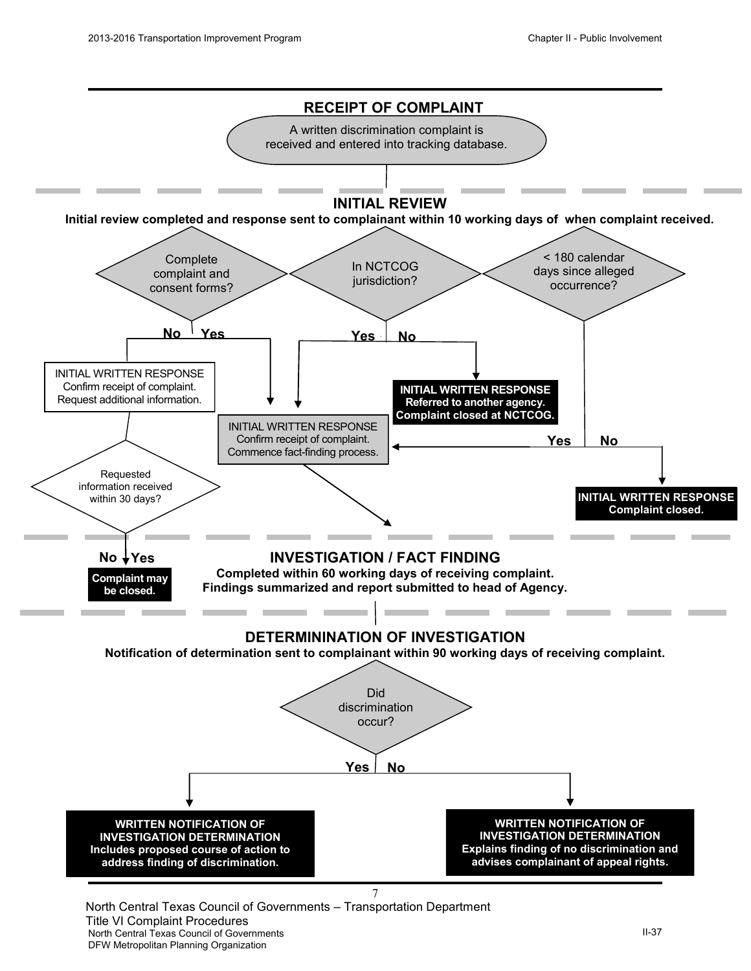

North Central Texas Council of Governments – Transportation Department Title VI Complaint Procedures North Central Texas Council of Governments DFW Metropolitan Planning Organization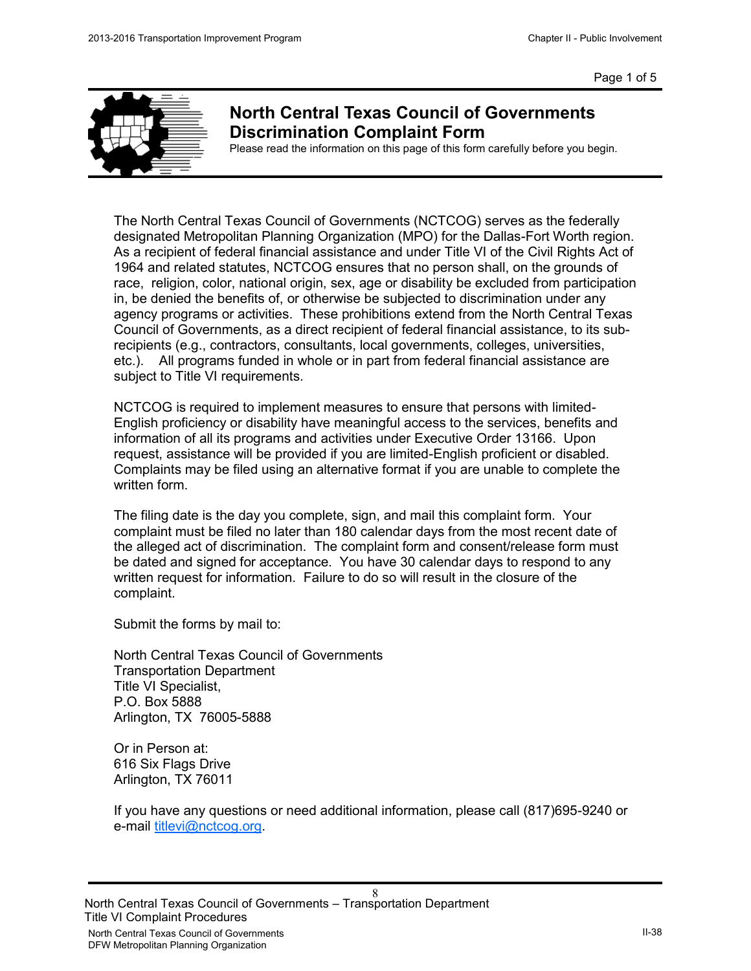



## **North Central Texas Council of Governments Discrimination Complaint Form**

Please read the information on this page of this form carefully before you begin.

The North Central Texas Council of Governments (NCTCOG) serves as the federally designated Metropolitan Planning Organization (MPO) for the Dallas-Fort Worth region. As a recipient of federal financial assistance and under Title VI of the Civil Rights Act of 1964 and related statutes, NCTCOG ensures that no person shall, on the grounds of race, religion, color, national origin, sex, age or disability be excluded from participation in, be denied the benefits of, or otherwise be subjected to discrimination under any agency programs or activities. These prohibitions extend from the North Central Texas Council of Governments, as a direct recipient of federal financial assistance, to its subrecipients (e.g., contractors, consultants, local governments, colleges, universities, etc.). All programs funded in whole or in part from federal financial assistance are subject to Title VI requirements.

NCTCOG is required to implement measures to ensure that persons with limited-English proficiency or disability have meaningful access to the services, benefits and information of all its programs and activities under Executive Order 13166. Upon request, assistance will be provided if you are limited-English proficient or disabled. Complaints may be filed using an alternative format if you are unable to complete the written form.

The filing date is the day you complete, sign, and mail this complaint form. Your complaint must be filed no later than 180 calendar days from the most recent date of the alleged act of discrimination. The complaint form and consent/release form must be dated and signed for acceptance. You have 30 calendar days to respond to any written request for information. Failure to do so will result in the closure of the complaint.

Submit the forms by mail to:

North Central Texas Council of Governments Transportation Department Title VI Specialist, P.O. Box 5888 Arlington, TX 76005-5888

Or in Person at: 616 Six Flags Drive Arlington, TX 76011

If you have any questions or need additional information, please call (817)695-9240 or e-mail [titlevi@nctcog.org.](mailto:titlevi@nctcog.org)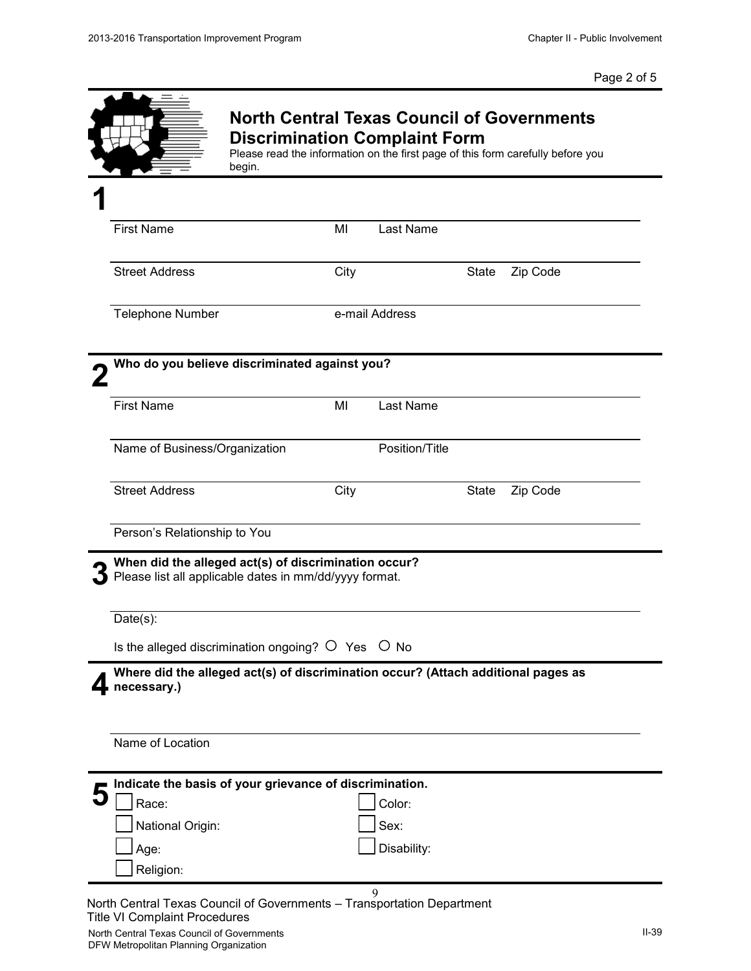|                                                                                                                |        |      |                                      |              |                                                                                                                                      | Page 2 of 5 |
|----------------------------------------------------------------------------------------------------------------|--------|------|--------------------------------------|--------------|--------------------------------------------------------------------------------------------------------------------------------------|-------------|
|                                                                                                                | begin. |      | <b>Discrimination Complaint Form</b> |              | <b>North Central Texas Council of Governments</b><br>Please read the information on the first page of this form carefully before you |             |
|                                                                                                                |        |      |                                      |              |                                                                                                                                      |             |
| <b>First Name</b>                                                                                              |        | MI   | <b>Last Name</b>                     |              |                                                                                                                                      |             |
| <b>Street Address</b>                                                                                          |        | City |                                      | State        | Zip Code                                                                                                                             |             |
| <b>Telephone Number</b>                                                                                        |        |      | e-mail Address                       |              |                                                                                                                                      |             |
| Who do you believe discriminated against you?                                                                  |        |      |                                      |              |                                                                                                                                      |             |
| <b>First Name</b>                                                                                              |        | MI   | Last Name                            |              |                                                                                                                                      |             |
| Name of Business/Organization                                                                                  |        |      | Position/Title                       |              |                                                                                                                                      |             |
| <b>Street Address</b>                                                                                          |        | City |                                      | <b>State</b> | Zip Code                                                                                                                             |             |
| Person's Relationship to You                                                                                   |        |      |                                      |              |                                                                                                                                      |             |
| When did the alleged act(s) of discrimination occur?<br>Please list all applicable dates in mm/dd/yyyy format. |        |      |                                      |              |                                                                                                                                      |             |
| Date(s):                                                                                                       |        |      |                                      |              |                                                                                                                                      |             |
| Is the alleged discrimination ongoing? $\circ$ Yes $\circ$ No                                                  |        |      |                                      |              |                                                                                                                                      |             |
| Where did the alleged act(s) of discrimination occur? (Attach additional pages as<br>necessary.)               |        |      |                                      |              |                                                                                                                                      |             |
| Name of Location                                                                                               |        |      |                                      |              |                                                                                                                                      |             |
| Indicate the basis of your grievance of discrimination.                                                        |        |      |                                      |              |                                                                                                                                      |             |
| Race:                                                                                                          |        |      | Color:                               |              |                                                                                                                                      |             |
| National Origin:                                                                                               |        |      | Sex:                                 |              |                                                                                                                                      |             |
| Age:                                                                                                           |        |      | Disability:                          |              |                                                                                                                                      |             |
| Religion:                                                                                                      |        |      |                                      |              |                                                                                                                                      |             |
| North Central Texas Council of Governments - Transportation Department                                         |        |      | 9                                    |              |                                                                                                                                      |             |

Title VI Complaint Procedures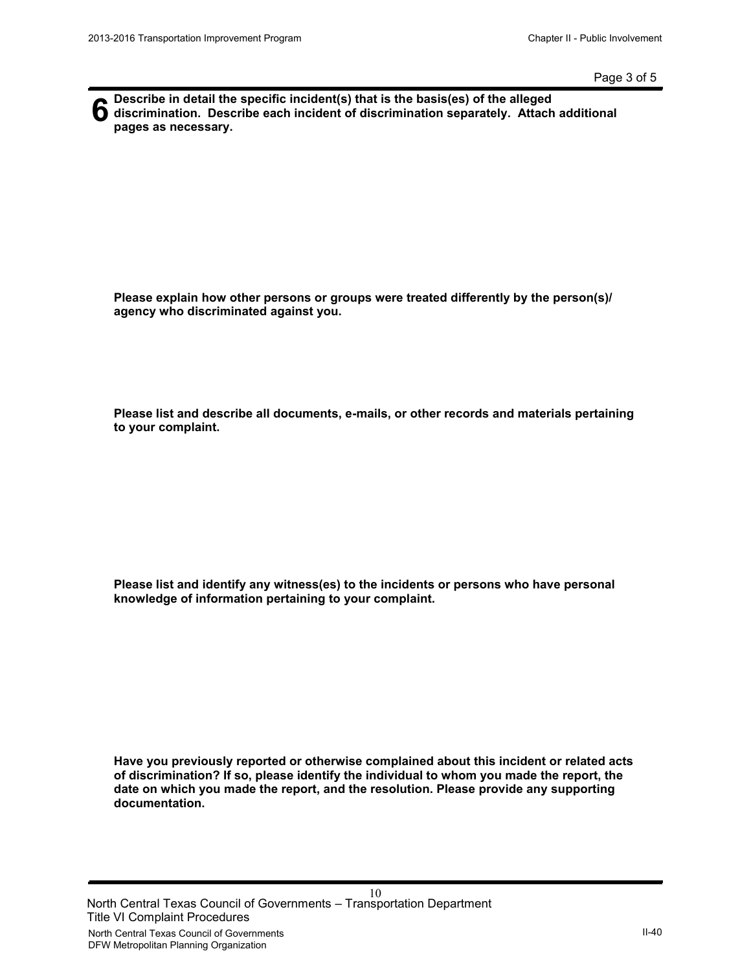

**6 Describe in detail the specific incident(s) that is the basis(es) of the alleged discrimination. Describe each incident of discrimination separately. Attach additional name as nocossary pages as necessary.** 

**Please explain how other persons or groups were treated differently by the person(s)/ agency who discriminated against you.** 

**Please list and describe all documents, e-mails, or other records and materials pertaining to your complaint.** 

**Please list and identify any witness(es) to the incidents or persons who have personal knowledge of information pertaining to your complaint.** 

**Have you previously reported or otherwise complained about this incident or related acts of discrimination? If so, please identify the individual to whom you made the report, the date on which you made the report, and the resolution. Please provide any supporting documentation.** 

North Central Texas Council of Governments – Transportation Department Title VI Complaint Procedures 10 North Central Texas Council of Governments DFW Metropolitan Planning Organization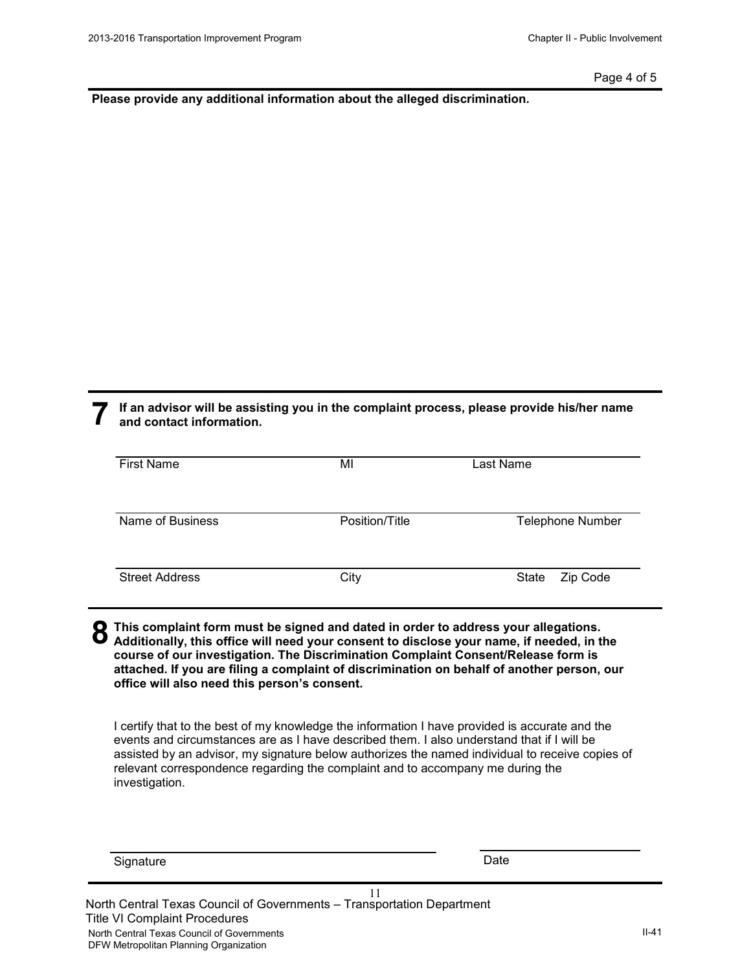Page 4 of 5

**Please provide any additional information about the alleged discrimination.** 

**7 If an advisor will be assisting you in the complaint process, please provide his/her name and contact information.**

| <b>First Name</b>     | ΜI             | Last Name                |  |
|-----------------------|----------------|--------------------------|--|
|                       |                |                          |  |
| Name of Business      | Position/Title | <b>Telephone Number</b>  |  |
| <b>Street Address</b> | City           | <b>State</b><br>Zip Code |  |

**8 This complaint form must be signed and dated in order to address your allegations. Additionally, this office will need your consent to disclose your name, if needed, in the course of our investigation. The Discrimination Complaint Consent/Release form is attached. If you are filing a complaint of discrimination on behalf of another person, our office will also need this person's consent.** 

I certify that to the best of my knowledge the information I have provided is accurate and the events and circumstances are as I have described them. I also understand that if I will be assisted by an advisor, my signature below authorizes the named individual to receive copies of relevant correspondence regarding the complaint and to accompany me during the investigation.

| Signature                                                              | Date |  |
|------------------------------------------------------------------------|------|--|
| North Central Texas Council of Governments - Transportation Department |      |  |